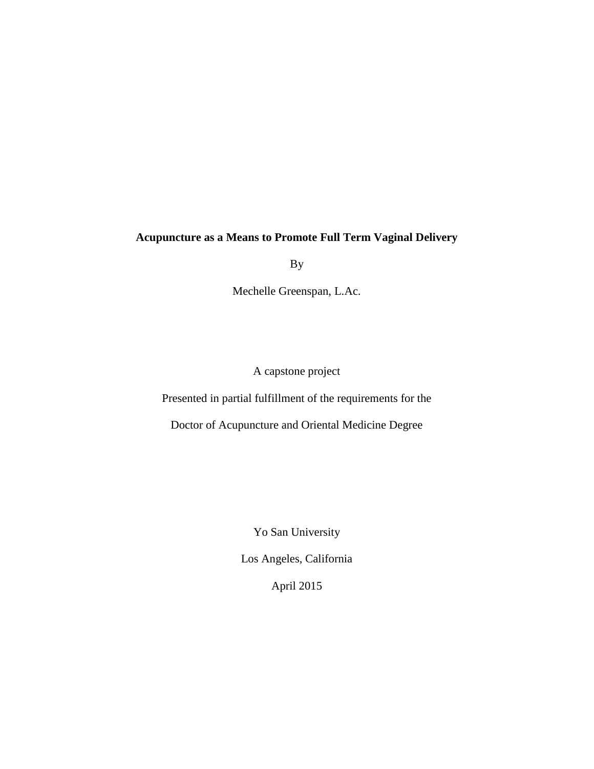# **Acupuncture as a Means to Promote Full Term Vaginal Delivery**

By

Mechelle Greenspan, L.Ac.

A capstone project

Presented in partial fulfillment of the requirements for the

Doctor of Acupuncture and Oriental Medicine Degree

Yo San University

Los Angeles, California

April 2015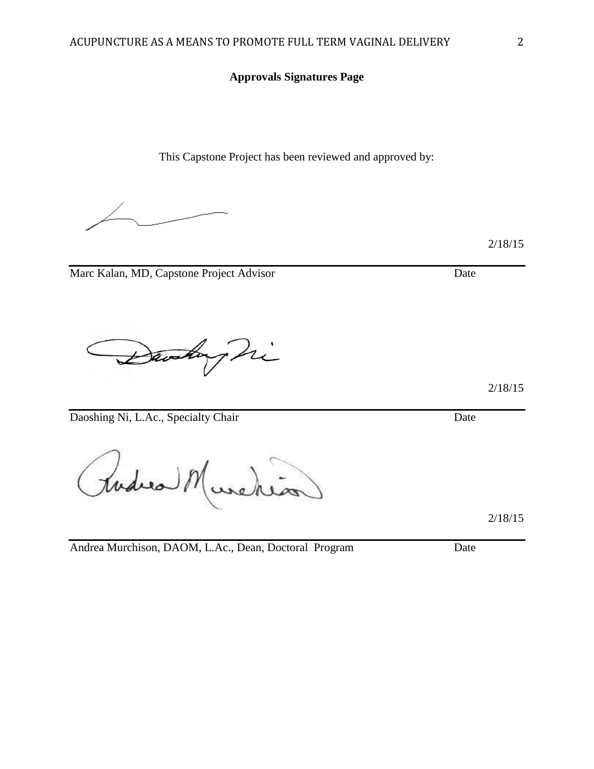## **Approvals Signatures Page**

This Capstone Project has been reviewed and approved by:

Marc Kalan, MD, Capstone Project Advisor Date

Daviday Di

Daoshing Ni, L.Ac., Specialty Chair Date

todes 8

Andrea Murchison, DAOM, L.Ac., Dean, Doctoral Program Date

2/18/15

2/18/15

2/18/15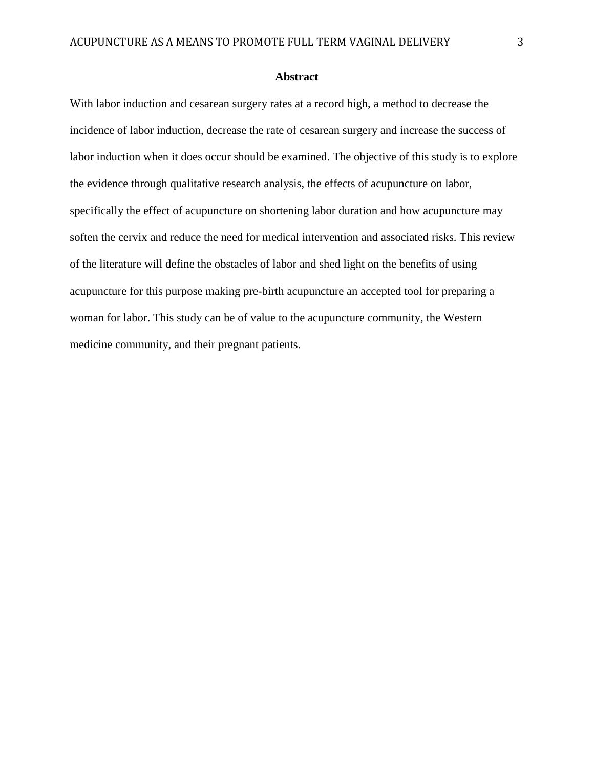## **Abstract**

With labor induction and cesarean surgery rates at a record high, a method to decrease the incidence of labor induction, decrease the rate of cesarean surgery and increase the success of labor induction when it does occur should be examined. The objective of this study is to explore the evidence through qualitative research analysis, the effects of acupuncture on labor, specifically the effect of acupuncture on shortening labor duration and how acupuncture may soften the cervix and reduce the need for medical intervention and associated risks. This review of the literature will define the obstacles of labor and shed light on the benefits of using acupuncture for this purpose making pre-birth acupuncture an accepted tool for preparing a woman for labor. This study can be of value to the acupuncture community, the Western medicine community, and their pregnant patients.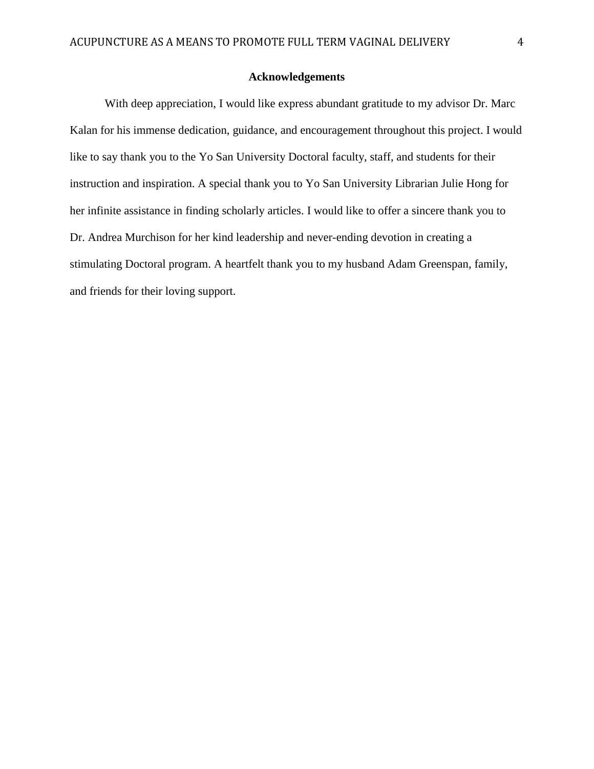## **Acknowledgements**

With deep appreciation, I would like express abundant gratitude to my advisor Dr. Marc Kalan for his immense dedication, guidance, and encouragement throughout this project. I would like to say thank you to the Yo San University Doctoral faculty, staff, and students for their instruction and inspiration. A special thank you to Yo San University Librarian Julie Hong for her infinite assistance in finding scholarly articles. I would like to offer a sincere thank you to Dr. Andrea Murchison for her kind leadership and never-ending devotion in creating a stimulating Doctoral program. A heartfelt thank you to my husband Adam Greenspan, family, and friends for their loving support.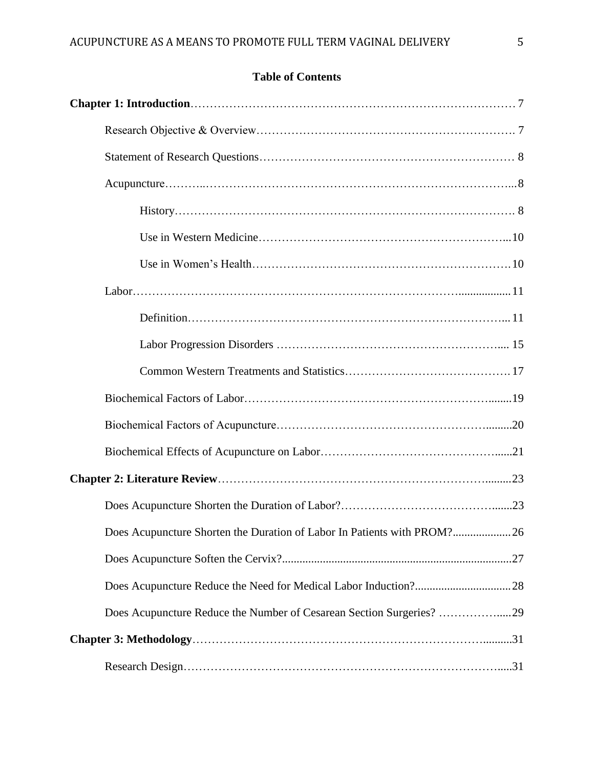# **Table of Contents**

| Does Acupuncture Shorten the Duration of Labor In Patients with PROM?26 |  |
|-------------------------------------------------------------------------|--|
|                                                                         |  |
|                                                                         |  |
| Does Acupuncture Reduce the Number of Cesarean Section Surgeries? 29    |  |
|                                                                         |  |
|                                                                         |  |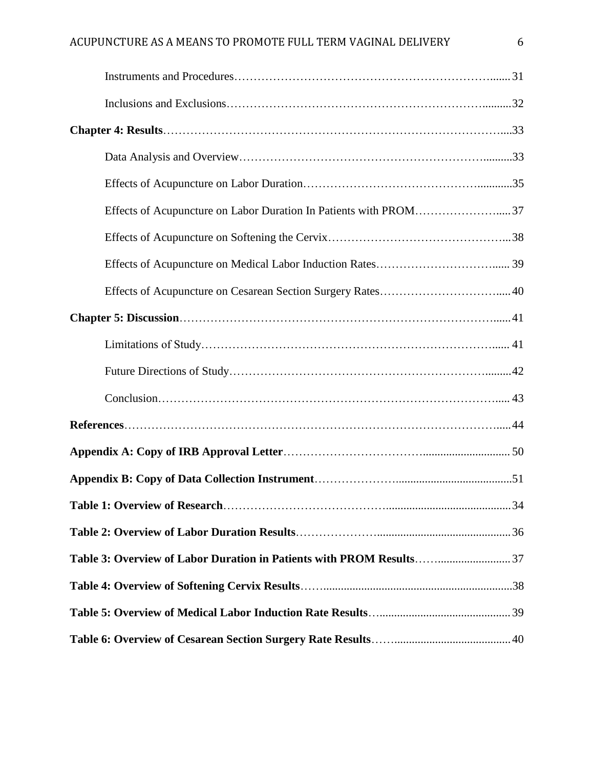| Effects of Acupuncture on Labor Duration In Patients with PROM37 |  |
|------------------------------------------------------------------|--|
|                                                                  |  |
|                                                                  |  |
|                                                                  |  |
|                                                                  |  |
|                                                                  |  |
|                                                                  |  |
|                                                                  |  |
|                                                                  |  |
|                                                                  |  |
|                                                                  |  |
|                                                                  |  |
|                                                                  |  |
|                                                                  |  |
|                                                                  |  |
|                                                                  |  |
|                                                                  |  |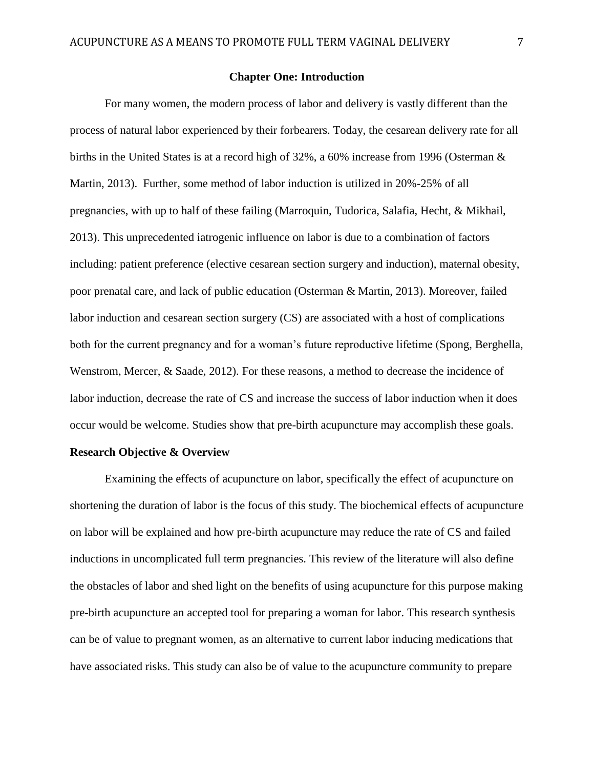## **Chapter One: Introduction**

For many women, the modern process of labor and delivery is vastly different than the process of natural labor experienced by their forbearers. Today, the cesarean delivery rate for all births in the United States is at a record high of 32%, a 60% increase from 1996 (Osterman & Martin, 2013). Further, some method of labor induction is utilized in 20%-25% of all pregnancies, with up to half of these failing (Marroquin, Tudorica, Salafia, Hecht, & Mikhail, 2013). This unprecedented iatrogenic influence on labor is due to a combination of factors including: patient preference (elective cesarean section surgery and induction), maternal obesity, poor prenatal care, and lack of public education (Osterman & Martin, 2013). Moreover, failed labor induction and cesarean section surgery (CS) are associated with a host of complications both for the current pregnancy and for a woman's future reproductive lifetime (Spong, Berghella, Wenstrom, Mercer, & Saade, 2012). For these reasons, a method to decrease the incidence of labor induction, decrease the rate of CS and increase the success of labor induction when it does occur would be welcome. Studies show that pre-birth acupuncture may accomplish these goals.

## **Research Objective & Overview**

Examining the effects of acupuncture on labor, specifically the effect of acupuncture on shortening the duration of labor is the focus of this study. The biochemical effects of acupuncture on labor will be explained and how pre-birth acupuncture may reduce the rate of CS and failed inductions in uncomplicated full term pregnancies. This review of the literature will also define the obstacles of labor and shed light on the benefits of using acupuncture for this purpose making pre-birth acupuncture an accepted tool for preparing a woman for labor. This research synthesis can be of value to pregnant women, as an alternative to current labor inducing medications that have associated risks. This study can also be of value to the acupuncture community to prepare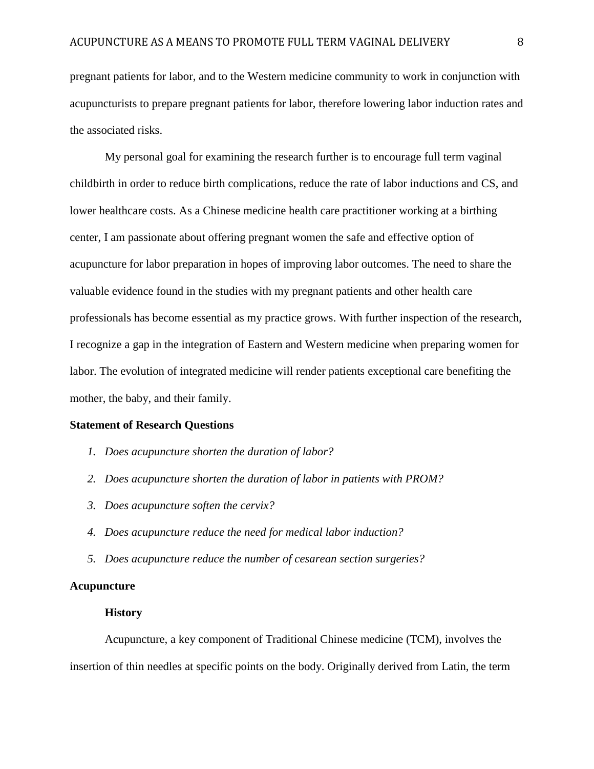pregnant patients for labor, and to the Western medicine community to work in conjunction with acupuncturists to prepare pregnant patients for labor, therefore lowering labor induction rates and the associated risks.

My personal goal for examining the research further is to encourage full term vaginal childbirth in order to reduce birth complications, reduce the rate of labor inductions and CS, and lower healthcare costs. As a Chinese medicine health care practitioner working at a birthing center, I am passionate about offering pregnant women the safe and effective option of acupuncture for labor preparation in hopes of improving labor outcomes. The need to share the valuable evidence found in the studies with my pregnant patients and other health care professionals has become essential as my practice grows. With further inspection of the research, I recognize a gap in the integration of Eastern and Western medicine when preparing women for labor. The evolution of integrated medicine will render patients exceptional care benefiting the mother, the baby, and their family.

#### **Statement of Research Questions**

- *1. Does acupuncture shorten the duration of labor?*
- *2. Does acupuncture shorten the duration of labor in patients with PROM?*
- *3. Does acupuncture soften the cervix?*
- *4. Does acupuncture reduce the need for medical labor induction?*
- *5. Does acupuncture reduce the number of cesarean section surgeries?*

## **Acupuncture**

#### **History**

Acupuncture, a key component of Traditional Chinese medicine (TCM), involves the insertion of thin needles at specific points on the body. Originally derived from Latin, the term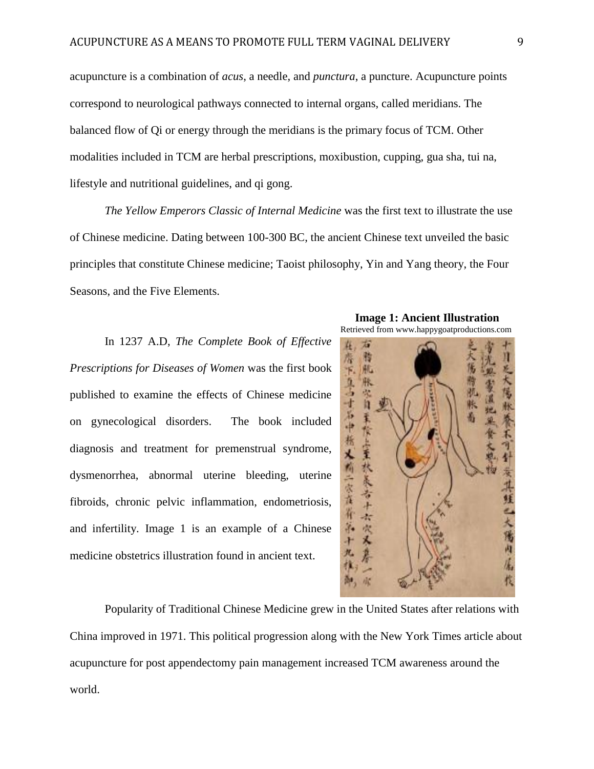acupuncture is a combination of *acus*, a needle, and *punctura*, a puncture. Acupuncture points correspond to neurological pathways connected to internal organs, called meridians. The balanced flow of Qi or energy through the meridians is the primary focus of TCM. Other modalities included in TCM are herbal prescriptions, moxibustion, cupping, gua sha, tui na, lifestyle and nutritional guidelines, and qi gong.

*The Yellow Emperors Classic of Internal Medicine* was the first text to illustrate the use of Chinese medicine. Dating between 100-300 BC, the ancient Chinese text unveiled the basic principles that constitute Chinese medicine; Taoist philosophy, Yin and Yang theory, the Four Seasons, and the Five Elements.

In 1237 A.D, *The Complete Book of Effective Prescriptions for Diseases of Women* was the first book published to examine the effects of Chinese medicine on gynecological disorders. The book included diagnosis and treatment for premenstrual syndrome, dysmenorrhea, abnormal uterine bleeding, uterine fibroids, chronic pelvic inflammation, endometriosis, and infertility. Image 1 is an example of a Chinese medicine obstetrics illustration found in ancient text.



 **Image 1: Ancient Illustration**



Popularity of Traditional Chinese Medicine grew in the United States after relations with China improved in 1971. This political progression along with the New York Times article about acupuncture for post appendectomy pain management increased TCM awareness around the world.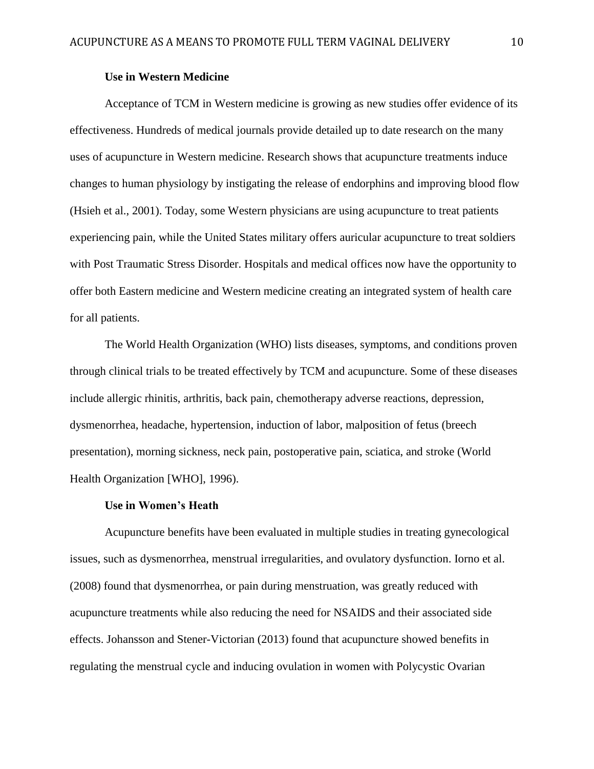## **Use in Western Medicine**

Acceptance of TCM in Western medicine is growing as new studies offer evidence of its effectiveness. Hundreds of medical journals provide detailed up to date research on the many uses of acupuncture in Western medicine. Research shows that acupuncture treatments induce changes to human physiology by instigating the release of endorphins and improving blood flow (Hsieh et al., 2001). Today, some Western physicians are using acupuncture to treat patients experiencing pain, while the United States military offers auricular acupuncture to treat soldiers with Post Traumatic Stress Disorder. Hospitals and medical offices now have the opportunity to offer both Eastern medicine and Western medicine creating an integrated system of health care for all patients.

The World Health Organization (WHO) lists diseases, symptoms, and conditions proven through clinical trials to be treated effectively by TCM and acupuncture. Some of these diseases include allergic rhinitis, arthritis, back pain, chemotherapy adverse reactions, depression, dysmenorrhea, headache, hypertension, induction of labor, malposition of fetus (breech presentation), morning sickness, neck pain, postoperative pain, sciatica, and stroke (World Health Organization [WHO], 1996).

#### **Use in Women's Heath**

Acupuncture benefits have been evaluated in multiple studies in treating gynecological issues, such as dysmenorrhea, menstrual irregularities, and ovulatory dysfunction. Iorno et al. (2008) found that dysmenorrhea, or pain during menstruation, was greatly reduced with acupuncture treatments while also reducing the need for NSAIDS and their associated side effects. Johansson and Stener-Victorian (2013) found that acupuncture showed benefits in regulating the menstrual cycle and inducing ovulation in women with Polycystic Ovarian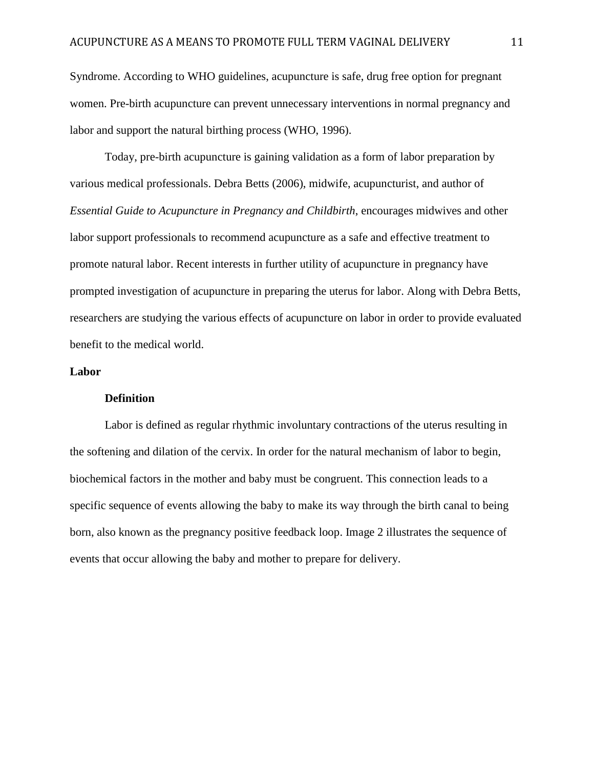Syndrome. According to WHO guidelines, acupuncture is safe, drug free option for pregnant women. Pre-birth acupuncture can prevent unnecessary interventions in normal pregnancy and labor and support the natural birthing process (WHO, 1996).

Today, pre-birth acupuncture is gaining validation as a form of labor preparation by various medical professionals. Debra Betts (2006), midwife, acupuncturist, and author of *Essential Guide to Acupuncture in Pregnancy and Childbirth*, encourages midwives and other labor support professionals to recommend acupuncture as a safe and effective treatment to promote natural labor. Recent interests in further utility of acupuncture in pregnancy have prompted investigation of acupuncture in preparing the uterus for labor. Along with Debra Betts, researchers are studying the various effects of acupuncture on labor in order to provide evaluated benefit to the medical world.

## **Labor**

## **Definition**

Labor is defined as regular rhythmic involuntary contractions of the uterus resulting in the softening and dilation of the cervix. In order for the natural mechanism of labor to begin, biochemical factors in the mother and baby must be congruent. This connection leads to a specific sequence of events allowing the baby to make its way through the birth canal to being born, also known as the pregnancy positive feedback loop. Image 2 illustrates the sequence of events that occur allowing the baby and mother to prepare for delivery.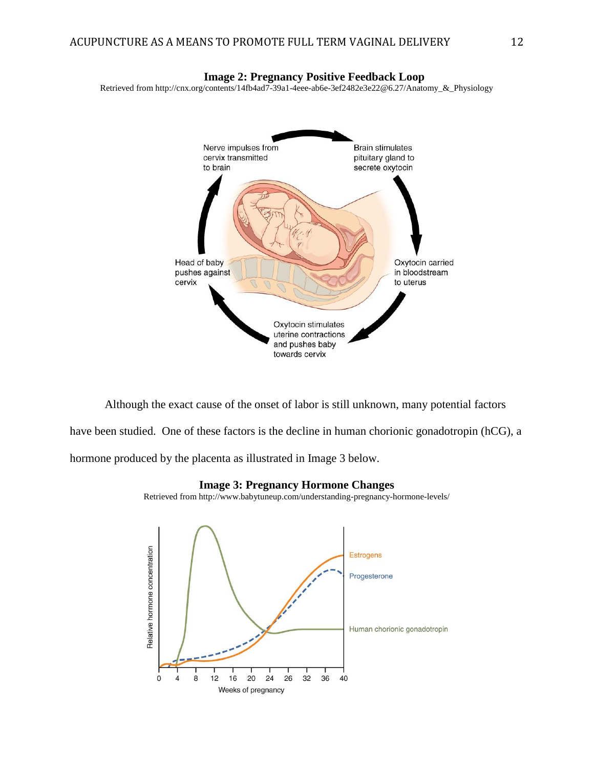

Although the exact cause of the onset of labor is still unknown, many potential factors have been studied. One of these factors is the decline in human chorionic gonadotropin (hCG), a hormone produced by the placenta as illustrated in Image 3 below.

#### **Image 3: Pregnancy Hormone Changes**

Retrieved from http://www.babytuneup.com/understanding-pregnancy-hormone-levels/

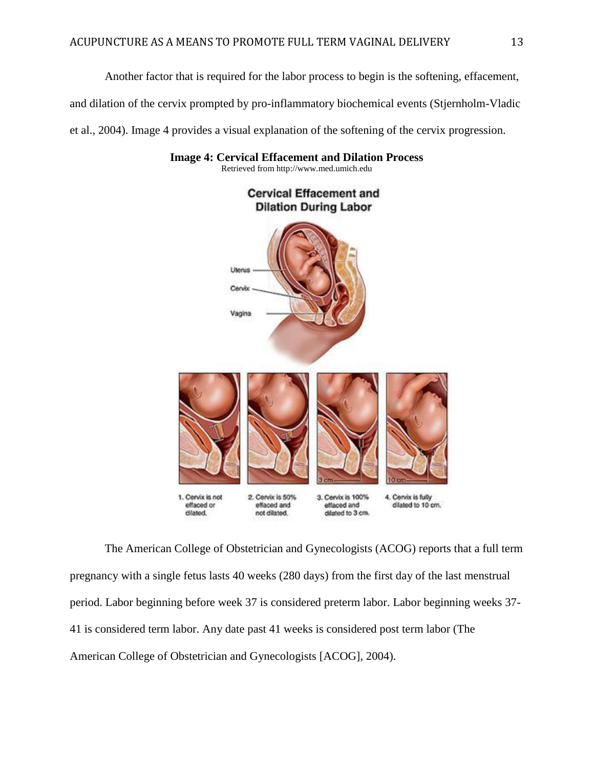Another factor that is required for the labor process to begin is the softening, effacement,

and dilation of the cervix prompted by pro-inflammatory biochemical events (Stjernholm-Vladic

et al., 2004). Image 4 provides a visual explanation of the softening of the cervix progression.



**Image 4: Cervical Effacement and Dilation Process**

Retrieved from http://www.med.umich.edu

The American College of Obstetrician and Gynecologists (ACOG) reports that a full term pregnancy with a single fetus lasts 40 weeks (280 days) from the first day of the last menstrual period. Labor beginning before week 37 is considered preterm labor. Labor beginning weeks 37- 41 is considered term labor. Any date past 41 weeks is considered post term labor (The American College of Obstetrician and Gynecologists [ACOG], 2004).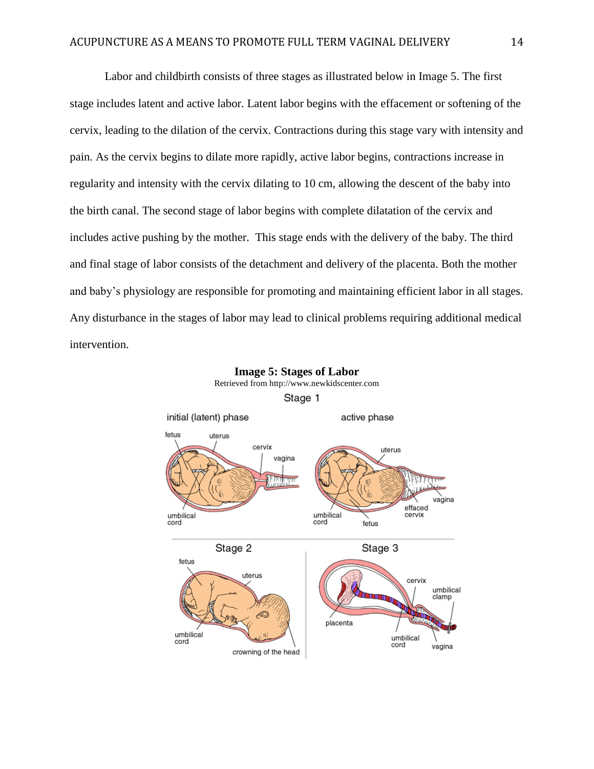Labor and childbirth consists of three stages as illustrated below in Image 5. The first stage includes latent and active labor. Latent labor begins with the effacement or softening of the cervix, leading to the dilation of the cervix. Contractions during this stage vary with intensity and pain. As the cervix begins to dilate more rapidly, active labor begins, contractions increase in regularity and intensity with the cervix dilating to 10 cm, allowing the descent of the baby into the birth canal. The second stage of labor begins with complete dilatation of the cervix and includes active pushing by the mother. This stage ends with the delivery of the baby. The third and final stage of labor consists of the detachment and delivery of the placenta. Both the mother and baby's physiology are responsible for promoting and maintaining efficient labor in all stages. Any disturbance in the stages of labor may lead to clinical problems requiring additional medical intervention.

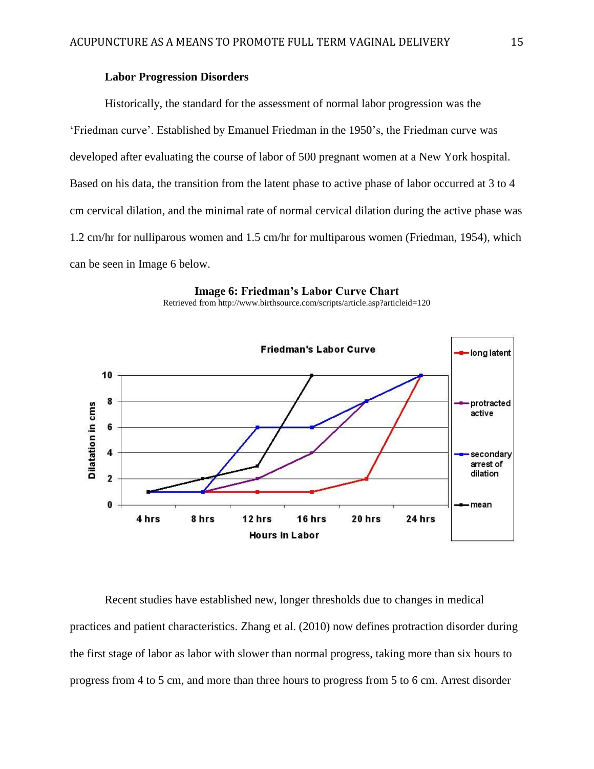## **Labor Progression Disorders**

Historically, the standard for the assessment of normal labor progression was the 'Friedman curve'. Established by Emanuel Friedman in the 1950's, the Friedman curve was developed after evaluating the course of labor of 500 pregnant women at a New York hospital. Based on his data, the transition from the latent phase to active phase of labor occurred at 3 to 4 cm cervical dilation, and the minimal rate of normal cervical dilation during the active phase was 1.2 cm/hr for nulliparous women and 1.5 cm/hr for multiparous women (Friedman, 1954), which can be seen in Image 6 below.





Retrieved from http://www.birthsource.com/scripts/article.asp?articleid=120

Recent studies have established new, longer thresholds due to changes in medical practices and patient characteristics. Zhang et al. (2010) now defines protraction disorder during the first stage of labor as labor with slower than normal progress, taking more than six hours to progress from 4 to 5 cm, and more than three hours to progress from 5 to 6 cm. Arrest disorder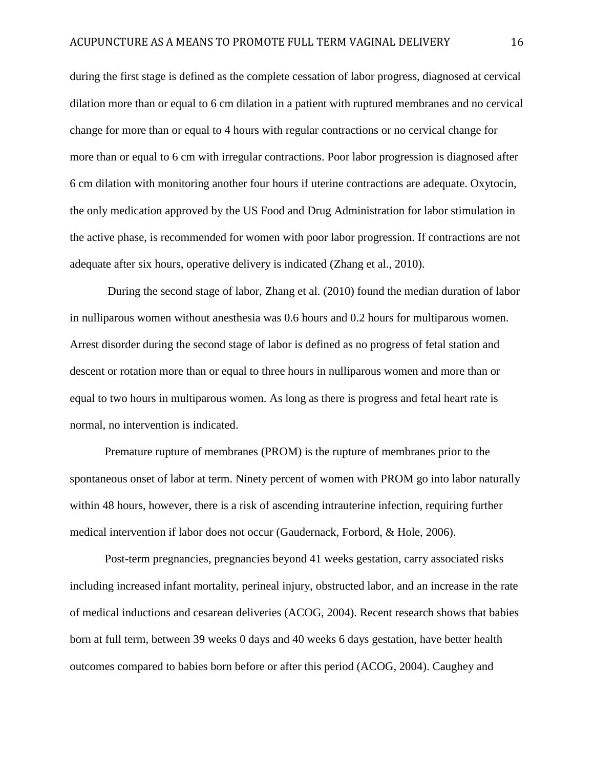during the first stage is defined as the complete cessation of labor progress, diagnosed at cervical dilation more than or equal to 6 cm dilation in a patient with ruptured membranes and no cervical change for more than or equal to 4 hours with regular contractions or no cervical change for more than or equal to 6 cm with irregular contractions. Poor labor progression is diagnosed after 6 cm dilation with monitoring another four hours if uterine contractions are adequate. Oxytocin, the only medication approved by the US Food and Drug Administration for labor stimulation in the active phase, is recommended for women with poor labor progression. If contractions are not adequate after six hours, operative delivery is indicated (Zhang et al., 2010).

During the second stage of labor, Zhang et al. (2010) found the median duration of labor in nulliparous women without anesthesia was 0.6 hours and 0.2 hours for multiparous women. Arrest disorder during the second stage of labor is defined as no progress of fetal station and descent or rotation more than or equal to three hours in nulliparous women and more than or equal to two hours in multiparous women. As long as there is progress and fetal heart rate is normal, no intervention is indicated.

Premature rupture of membranes (PROM) is the rupture of membranes prior to the spontaneous onset of labor at term. Ninety percent of women with PROM go into labor naturally within 48 hours, however, there is a risk of ascending intrauterine infection, requiring further medical intervention if labor does not occur (Gaudernack, Forbord, & Hole, 2006).

Post-term pregnancies, pregnancies beyond 41 weeks gestation, carry associated risks including increased infant mortality, perineal injury, obstructed labor, and an increase in the rate of medical inductions and cesarean deliveries (ACOG, 2004). Recent research shows that babies born at full term, between 39 weeks 0 days and 40 weeks 6 days gestation, have better health outcomes compared to babies born before or after this period (ACOG, 2004). Caughey and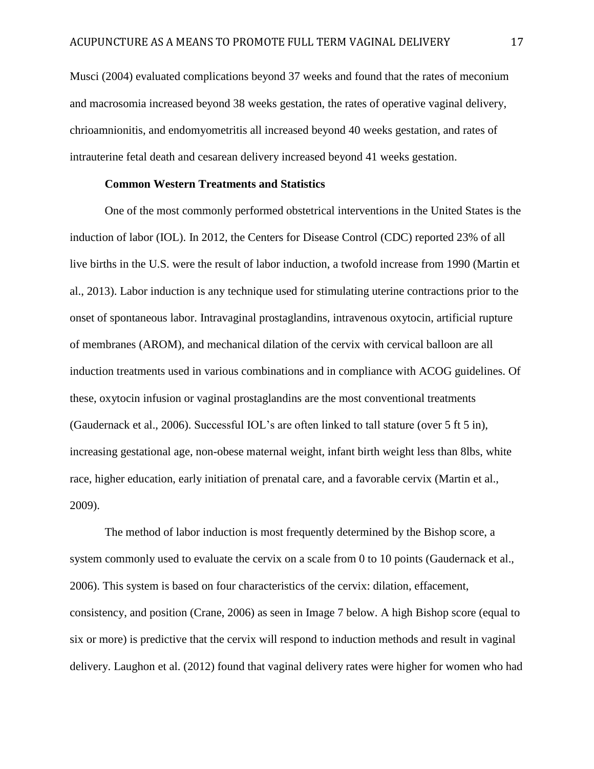Musci (2004) evaluated complications beyond 37 weeks and found that the rates of meconium and macrosomia increased beyond 38 weeks gestation, the rates of operative vaginal delivery, chrioamnionitis, and endomyometritis all increased beyond 40 weeks gestation, and rates of intrauterine fetal death and cesarean delivery increased beyond 41 weeks gestation.

## **Common Western Treatments and Statistics**

One of the most commonly performed obstetrical interventions in the United States is the induction of labor (IOL). In 2012, the Centers for Disease Control (CDC) reported 23% of all live births in the U.S. were the result of labor induction, a twofold increase from 1990 (Martin et al., 2013). Labor induction is any technique used for stimulating uterine contractions prior to the onset of spontaneous labor. Intravaginal prostaglandins, intravenous oxytocin, artificial rupture of membranes (AROM), and mechanical dilation of the cervix with cervical balloon are all induction treatments used in various combinations and in compliance with ACOG guidelines. Of these, oxytocin infusion or vaginal prostaglandins are the most conventional treatments (Gaudernack et al., 2006). Successful IOL's are often linked to tall stature (over 5 ft 5 in), increasing gestational age, non-obese maternal weight, infant birth weight less than 8lbs, white race, higher education, early initiation of prenatal care, and a favorable cervix (Martin et al., 2009).

The method of labor induction is most frequently determined by the Bishop score, a system commonly used to evaluate the cervix on a scale from 0 to 10 points (Gaudernack et al., 2006). This system is based on four characteristics of the cervix: dilation, effacement, consistency, and position (Crane, 2006) as seen in Image 7 below. A high Bishop score (equal to six or more) is predictive that the cervix will respond to induction methods and result in vaginal delivery. Laughon et al. (2012) found that vaginal delivery rates were higher for women who had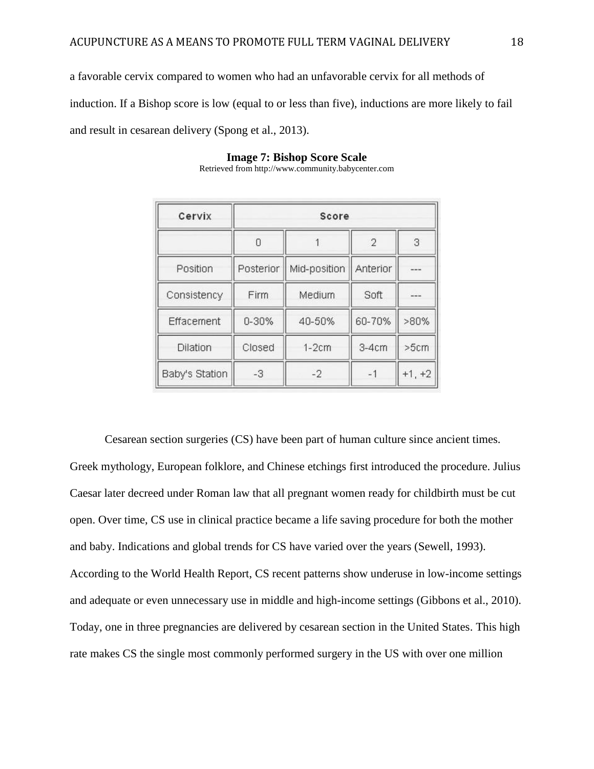a favorable cervix compared to women who had an unfavorable cervix for all methods of induction. If a Bishop score is low (equal to or less than five), inductions are more likely to fail and result in cesarean delivery (Spong et al., 2013).

| Cervix         | Score     |              |                |          |
|----------------|-----------|--------------|----------------|----------|
|                | 0         |              | $\overline{2}$ | 3        |
| Position       | Posterior | Mid-position | Anterior       |          |
| Consistency    | Firm      | Medium       | Soft           | $\sim$   |
| Effacement     | $0 - 30%$ | 40-50%       | 60-70%         | $>80\%$  |
| Dilation       | Closed    | $1-2cm$      | $3-4cm$        | >5cm     |
| Baby's Station | $-3$      | $-2$         | $-1$           | $+1, +2$ |

## **Image 7: Bishop Score Scale**

Retrieved from http://www.community.babycenter.com

Cesarean section surgeries (CS) have been part of human culture since ancient times. Greek mythology, European folklore, and Chinese etchings first introduced the procedure. Julius Caesar later decreed under Roman law that all pregnant women ready for childbirth must be cut open. Over time, CS use in clinical practice became a life saving procedure for both the mother and baby. Indications and global trends for CS have varied over the years (Sewell, 1993). According to the World Health Report, CS recent patterns show underuse in low-income settings and adequate or even unnecessary use in middle and high-income settings (Gibbons et al., 2010). Today, one in three pregnancies are delivered by cesarean section in the United States. This high rate makes CS the single most commonly performed surgery in the US with over one million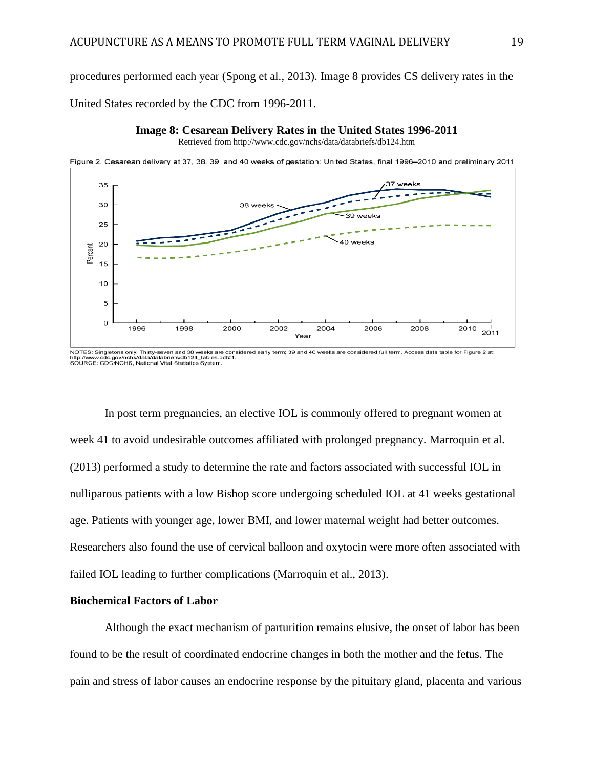procedures performed each year (Spong et al., 2013). Image 8 provides CS delivery rates in the

United States recorded by the CDC from 1996-2011.

#### **Image 8: Cesarean Delivery Rates in the United States 1996-2011**

Retrieved from http://www.cdc.gov/nchs/data/databriefs/db124.htm



NOTES: Singletons only. Thirty-seven and 38 weeks are considered early term; 39 and 40 weeks are considered full term. Access data table for Figure 2 at: /data/databriefs/db124 tables.pdf#1 http://www.cdc.gov/nchs/data/databriefs/db124\_tables.<br>SOURCE: CDC/NCHS, National Vital Statistics System

In post term pregnancies, an elective IOL is commonly offered to pregnant women at week 41 to avoid undesirable outcomes affiliated with prolonged pregnancy. Marroquin et al. (2013) performed a study to determine the rate and factors associated with successful IOL in nulliparous patients with a low Bishop score undergoing scheduled IOL at 41 weeks gestational age. Patients with younger age, lower BMI, and lower maternal weight had better outcomes. Researchers also found the use of cervical balloon and oxytocin were more often associated with failed IOL leading to further complications (Marroquin et al., 2013).

## **Biochemical Factors of Labor**

Although the exact mechanism of parturition remains elusive, the onset of labor has been found to be the result of coordinated endocrine changes in both the mother and the fetus. The pain and stress of labor causes an endocrine response by the pituitary gland, placenta and various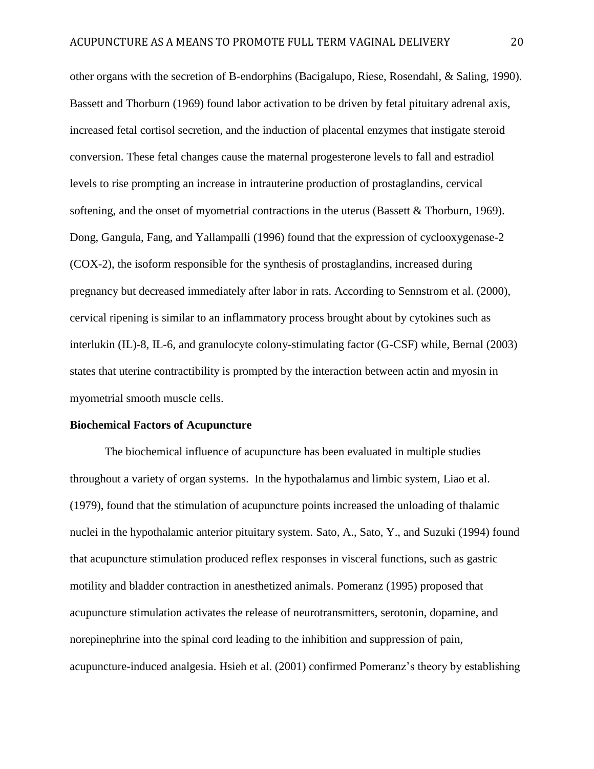other organs with the secretion of B-endorphins (Bacigalupo, Riese, Rosendahl, & Saling, 1990). Bassett and Thorburn (1969) found labor activation to be driven by fetal pituitary adrenal axis, increased fetal cortisol secretion, and the induction of placental enzymes that instigate steroid conversion. These fetal changes cause the maternal progesterone levels to fall and estradiol levels to rise prompting an increase in intrauterine production of prostaglandins, cervical softening, and the onset of myometrial contractions in the uterus (Bassett & Thorburn, 1969). Dong, Gangula, Fang, and Yallampalli (1996) found that the expression of cyclooxygenase-2 (COX-2), the isoform responsible for the synthesis of prostaglandins, increased during pregnancy but decreased immediately after labor in rats. According to Sennstrom et al. (2000), cervical ripening is similar to an inflammatory process brought about by cytokines such as interlukin (IL)-8, IL-6, and granulocyte colony-stimulating factor (G-CSF) while, Bernal (2003) states that uterine contractibility is prompted by the interaction between actin and myosin in myometrial smooth muscle cells.

#### **Biochemical Factors of Acupuncture**

The biochemical influence of acupuncture has been evaluated in multiple studies throughout a variety of organ systems. In the hypothalamus and limbic system, Liao et al. (1979), found that the stimulation of acupuncture points increased the unloading of thalamic nuclei in the hypothalamic anterior pituitary system. Sato, A., Sato, Y., and Suzuki (1994) found that acupuncture stimulation produced reflex responses in visceral functions, such as gastric motility and bladder contraction in anesthetized animals. Pomeranz (1995) proposed that acupuncture stimulation activates the release of neurotransmitters, serotonin, dopamine, and norepinephrine into the spinal cord leading to the inhibition and suppression of pain, acupuncture-induced analgesia. Hsieh et al. (2001) confirmed Pomeranz's theory by establishing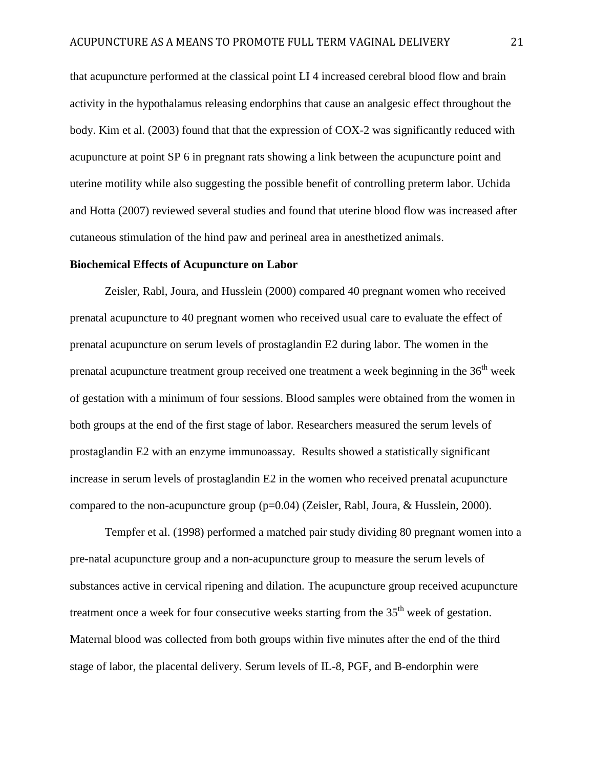that acupuncture performed at the classical point LI 4 increased cerebral blood flow and brain activity in the hypothalamus releasing endorphins that cause an analgesic effect throughout the body. Kim et al. (2003) found that that the expression of COX-2 was significantly reduced with acupuncture at point SP 6 in pregnant rats showing a link between the acupuncture point and uterine motility while also suggesting the possible benefit of controlling preterm labor. Uchida and Hotta (2007) reviewed several studies and found that uterine blood flow was increased after cutaneous stimulation of the hind paw and perineal area in anesthetized animals.

## **Biochemical Effects of Acupuncture on Labor**

Zeisler, Rabl, Joura, and Husslein (2000) compared 40 pregnant women who received prenatal acupuncture to 40 pregnant women who received usual care to evaluate the effect of prenatal acupuncture on serum levels of prostaglandin E2 during labor. The women in the prenatal acupuncture treatment group received one treatment a week beginning in the  $36<sup>th</sup>$  week of gestation with a minimum of four sessions. Blood samples were obtained from the women in both groups at the end of the first stage of labor. Researchers measured the serum levels of prostaglandin E2 with an enzyme immunoassay. Results showed a statistically significant increase in serum levels of prostaglandin E2 in the women who received prenatal acupuncture compared to the non-acupuncture group  $(p=0.04)$  (Zeisler, Rabl, Joura, & Husslein, 2000).

Tempfer et al. (1998) performed a matched pair study dividing 80 pregnant women into a pre-natal acupuncture group and a non-acupuncture group to measure the serum levels of substances active in cervical ripening and dilation. The acupuncture group received acupuncture treatment once a week for four consecutive weeks starting from the 35<sup>th</sup> week of gestation. Maternal blood was collected from both groups within five minutes after the end of the third stage of labor, the placental delivery. Serum levels of IL-8, PGF, and B-endorphin were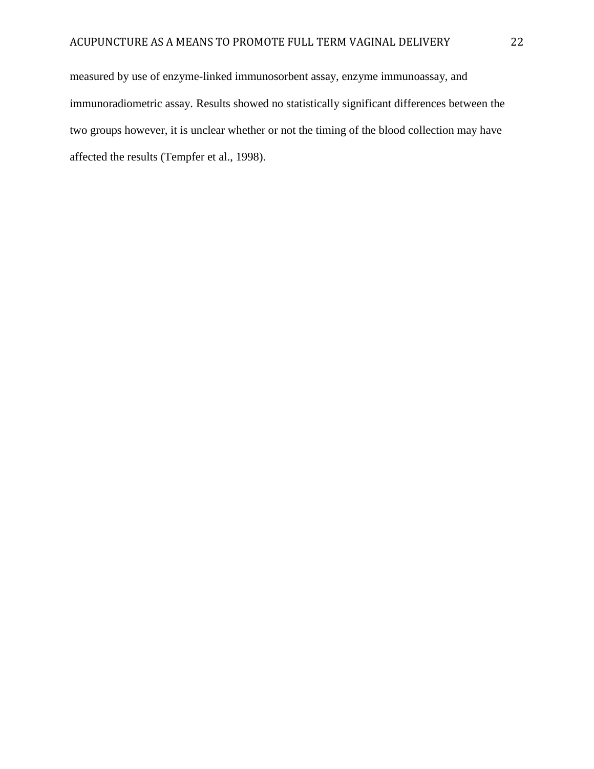measured by use of enzyme-linked immunosorbent assay, enzyme immunoassay, and immunoradiometric assay. Results showed no statistically significant differences between the two groups however, it is unclear whether or not the timing of the blood collection may have affected the results (Tempfer et al., 1998).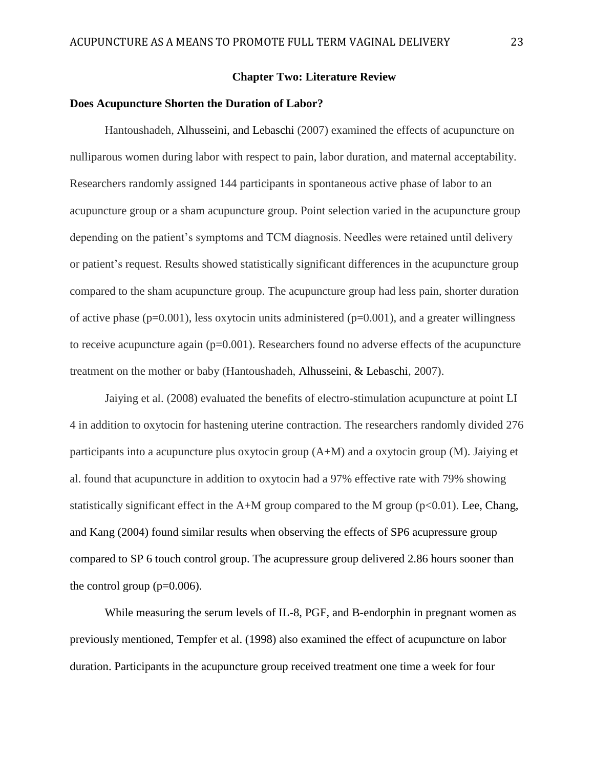## **Chapter Two: Literature Review**

## **Does Acupuncture Shorten the Duration of Labor?**

Hantoushadeh, Alhusseini, and Lebaschi (2007) examined the effects of acupuncture on nulliparous women during labor with respect to pain, labor duration, and maternal acceptability. Researchers randomly assigned 144 participants in spontaneous active phase of labor to an acupuncture group or a sham acupuncture group. Point selection varied in the acupuncture group depending on the patient's symptoms and TCM diagnosis. Needles were retained until delivery or patient's request. Results showed statistically significant differences in the acupuncture group compared to the sham acupuncture group. The acupuncture group had less pain, shorter duration of active phase  $(p=0.001)$ , less oxytocin units administered  $(p=0.001)$ , and a greater willingness to receive acupuncture again (p=0.001). Researchers found no adverse effects of the acupuncture treatment on the mother or baby (Hantoushadeh, Alhusseini, & Lebaschi, 2007).

Jaiying et al. (2008) evaluated the benefits of electro-stimulation acupuncture at point LI 4 in addition to oxytocin for hastening uterine contraction. The researchers randomly divided 276 participants into a acupuncture plus oxytocin group  $(A+M)$  and a oxytocin group  $(M)$ . Jaiying et al. found that acupuncture in addition to oxytocin had a 97% effective rate with 79% showing statistically significant effect in the A+M group compared to the M group ( $p<0.01$ ). Lee, Chang, and Kang (2004) found similar results when observing the effects of SP6 acupressure group compared to SP 6 touch control group. The acupressure group delivered 2.86 hours sooner than the control group  $(p=0.006)$ .

While measuring the serum levels of IL-8, PGF, and B-endorphin in pregnant women as previously mentioned, Tempfer et al. (1998) also examined the effect of acupuncture on labor duration. Participants in the acupuncture group received treatment one time a week for four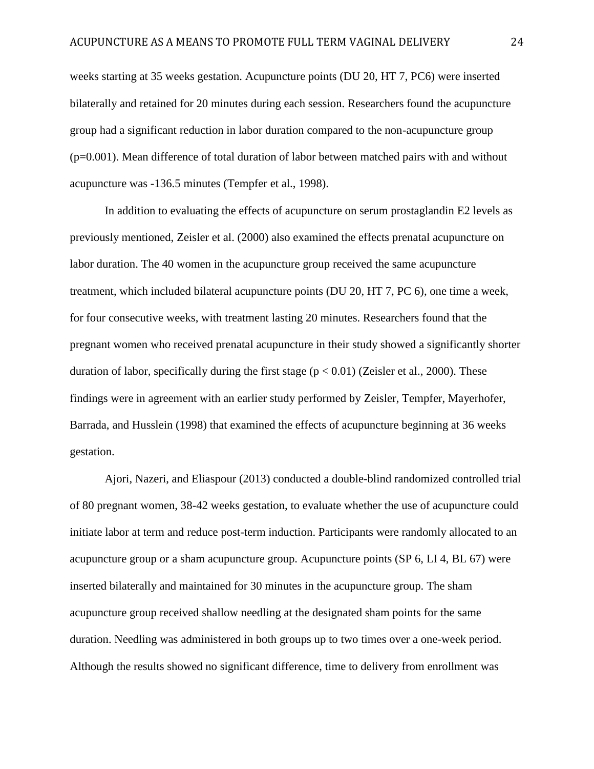weeks starting at 35 weeks gestation. Acupuncture points (DU 20, HT 7, PC6) were inserted bilaterally and retained for 20 minutes during each session. Researchers found the acupuncture group had a significant reduction in labor duration compared to the non-acupuncture group  $(p=0.001)$ . Mean difference of total duration of labor between matched pairs with and without acupuncture was -136.5 minutes (Tempfer et al., 1998).

In addition to evaluating the effects of acupuncture on serum prostaglandin E2 levels as previously mentioned, Zeisler et al. (2000) also examined the effects prenatal acupuncture on labor duration. The 40 women in the acupuncture group received the same acupuncture treatment, which included bilateral acupuncture points (DU 20, HT 7, PC 6), one time a week, for four consecutive weeks, with treatment lasting 20 minutes. Researchers found that the pregnant women who received prenatal acupuncture in their study showed a significantly shorter duration of labor, specifically during the first stage  $(p < 0.01)$  (Zeisler et al., 2000). These findings were in agreement with an earlier study performed by Zeisler, Tempfer, Mayerhofer, Barrada, and Husslein (1998) that examined the effects of acupuncture beginning at 36 weeks gestation.

Ajori, Nazeri, and Eliaspour (2013) conducted a double-blind randomized controlled trial of 80 pregnant women, 38-42 weeks gestation, to evaluate whether the use of acupuncture could initiate labor at term and reduce post-term induction. Participants were randomly allocated to an acupuncture group or a sham acupuncture group. Acupuncture points (SP 6, LI 4, BL 67) were inserted bilaterally and maintained for 30 minutes in the acupuncture group. The sham acupuncture group received shallow needling at the designated sham points for the same duration. Needling was administered in both groups up to two times over a one-week period. Although the results showed no significant difference, time to delivery from enrollment was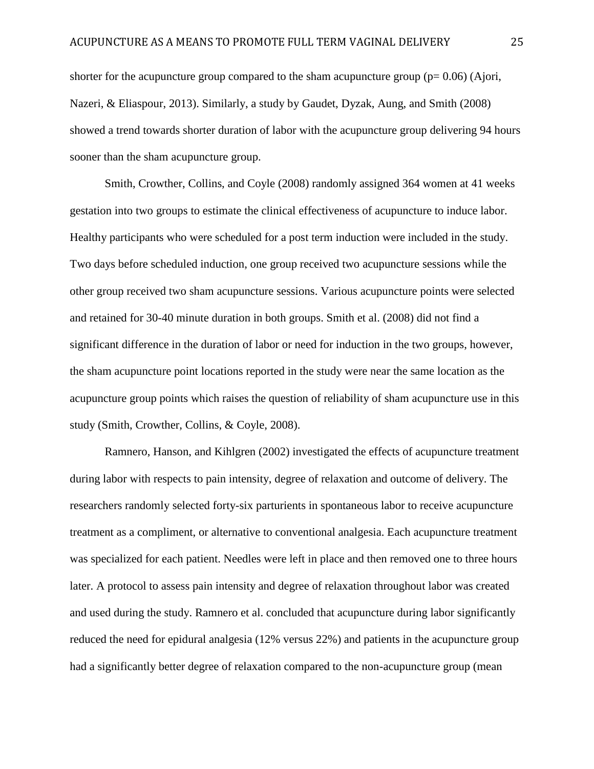shorter for the acupuncture group compared to the sham acupuncture group ( $p= 0.06$ ) (Ajori, Nazeri, & Eliaspour, 2013). Similarly, a study by Gaudet, Dyzak, Aung, and Smith (2008) showed a trend towards shorter duration of labor with the acupuncture group delivering 94 hours sooner than the sham acupuncture group.

Smith, Crowther, Collins, and Coyle (2008) randomly assigned 364 women at 41 weeks gestation into two groups to estimate the clinical effectiveness of acupuncture to induce labor. Healthy participants who were scheduled for a post term induction were included in the study. Two days before scheduled induction, one group received two acupuncture sessions while the other group received two sham acupuncture sessions. Various acupuncture points were selected and retained for 30-40 minute duration in both groups. Smith et al. (2008) did not find a significant difference in the duration of labor or need for induction in the two groups, however, the sham acupuncture point locations reported in the study were near the same location as the acupuncture group points which raises the question of reliability of sham acupuncture use in this study (Smith, Crowther, Collins, & Coyle, 2008).

Ramnero, Hanson, and Kihlgren (2002) investigated the effects of acupuncture treatment during labor with respects to pain intensity, degree of relaxation and outcome of delivery. The researchers randomly selected forty-six parturients in spontaneous labor to receive acupuncture treatment as a compliment, or alternative to conventional analgesia. Each acupuncture treatment was specialized for each patient. Needles were left in place and then removed one to three hours later. A protocol to assess pain intensity and degree of relaxation throughout labor was created and used during the study. Ramnero et al. concluded that acupuncture during labor significantly reduced the need for epidural analgesia (12% versus 22%) and patients in the acupuncture group had a significantly better degree of relaxation compared to the non-acupuncture group (mean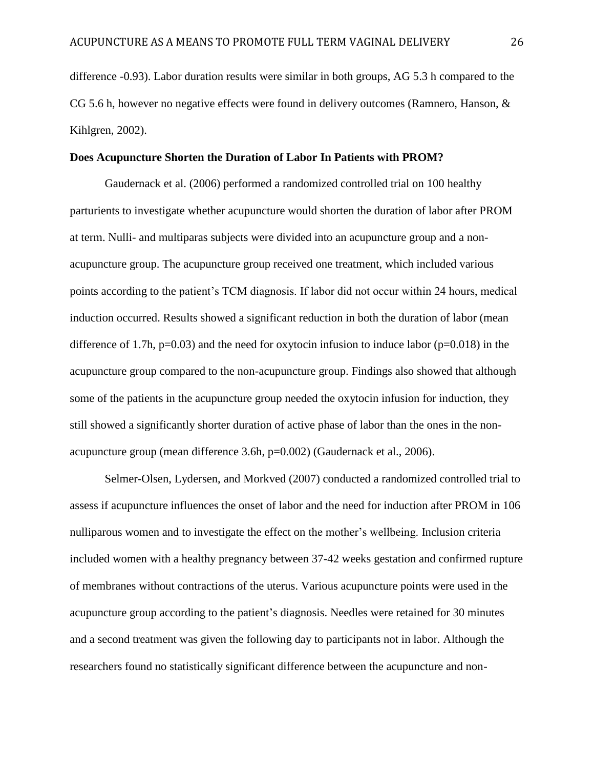difference -0.93). Labor duration results were similar in both groups, AG 5.3 h compared to the CG 5.6 h, however no negative effects were found in delivery outcomes (Ramnero, Hanson, & Kihlgren, 2002).

### **Does Acupuncture Shorten the Duration of Labor In Patients with PROM?**

Gaudernack et al. (2006) performed a randomized controlled trial on 100 healthy parturients to investigate whether acupuncture would shorten the duration of labor after PROM at term. Nulli- and multiparas subjects were divided into an acupuncture group and a nonacupuncture group. The acupuncture group received one treatment, which included various points according to the patient's TCM diagnosis. If labor did not occur within 24 hours, medical induction occurred. Results showed a significant reduction in both the duration of labor (mean difference of 1.7h,  $p=0.03$ ) and the need for oxytocin infusion to induce labor ( $p=0.018$ ) in the acupuncture group compared to the non-acupuncture group. Findings also showed that although some of the patients in the acupuncture group needed the oxytocin infusion for induction, they still showed a significantly shorter duration of active phase of labor than the ones in the nonacupuncture group (mean difference 3.6h, p=0.002) (Gaudernack et al., 2006).

Selmer-Olsen, Lydersen, and Morkved (2007) conducted a randomized controlled trial to assess if acupuncture influences the onset of labor and the need for induction after PROM in 106 nulliparous women and to investigate the effect on the mother's wellbeing. Inclusion criteria included women with a healthy pregnancy between 37-42 weeks gestation and confirmed rupture of membranes without contractions of the uterus. Various acupuncture points were used in the acupuncture group according to the patient's diagnosis. Needles were retained for 30 minutes and a second treatment was given the following day to participants not in labor. Although the researchers found no statistically significant difference between the acupuncture and non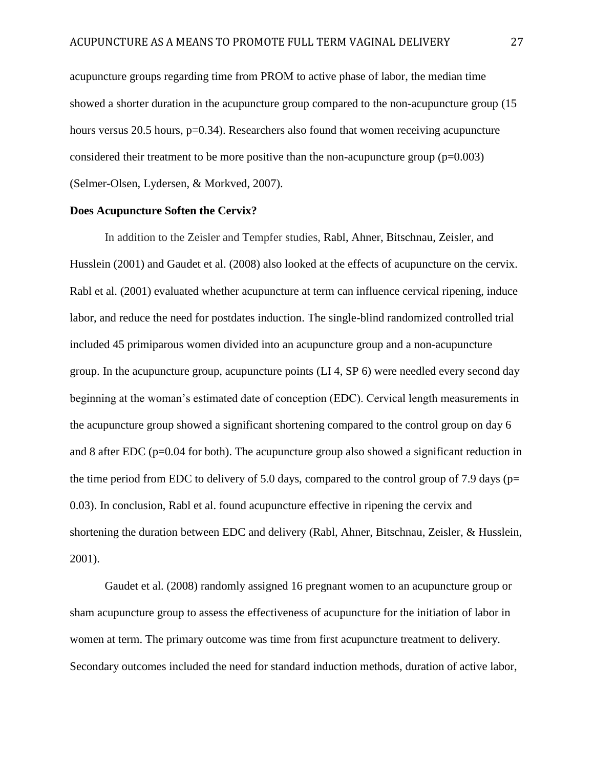acupuncture groups regarding time from PROM to active phase of labor, the median time showed a shorter duration in the acupuncture group compared to the non-acupuncture group (15 hours versus 20.5 hours, p=0.34). Researchers also found that women receiving acupuncture considered their treatment to be more positive than the non-acupuncture group  $(p=0.003)$ (Selmer-Olsen, Lydersen, & Morkved, 2007).

## **Does Acupuncture Soften the Cervix?**

In addition to the Zeisler and Tempfer studies, Rabl, Ahner, Bitschnau, Zeisler, and Husslein (2001) and Gaudet et al. (2008) also looked at the effects of acupuncture on the cervix. Rabl et al. (2001) evaluated whether acupuncture at term can influence cervical ripening, induce labor, and reduce the need for postdates induction. The single-blind randomized controlled trial included 45 primiparous women divided into an acupuncture group and a non-acupuncture group. In the acupuncture group, acupuncture points (LI 4, SP 6) were needled every second day beginning at the woman's estimated date of conception (EDC). Cervical length measurements in the acupuncture group showed a significant shortening compared to the control group on day 6 and 8 after EDC ( $p=0.04$  for both). The acupuncture group also showed a significant reduction in the time period from EDC to delivery of 5.0 days, compared to the control group of 7.9 days ( $p=$ 0.03). In conclusion, Rabl et al. found acupuncture effective in ripening the cervix and shortening the duration between EDC and delivery (Rabl, Ahner, Bitschnau, Zeisler, & Husslein, 2001).

Gaudet et al. (2008) randomly assigned 16 pregnant women to an acupuncture group or sham acupuncture group to assess the effectiveness of acupuncture for the initiation of labor in women at term. The primary outcome was time from first acupuncture treatment to delivery. Secondary outcomes included the need for standard induction methods, duration of active labor,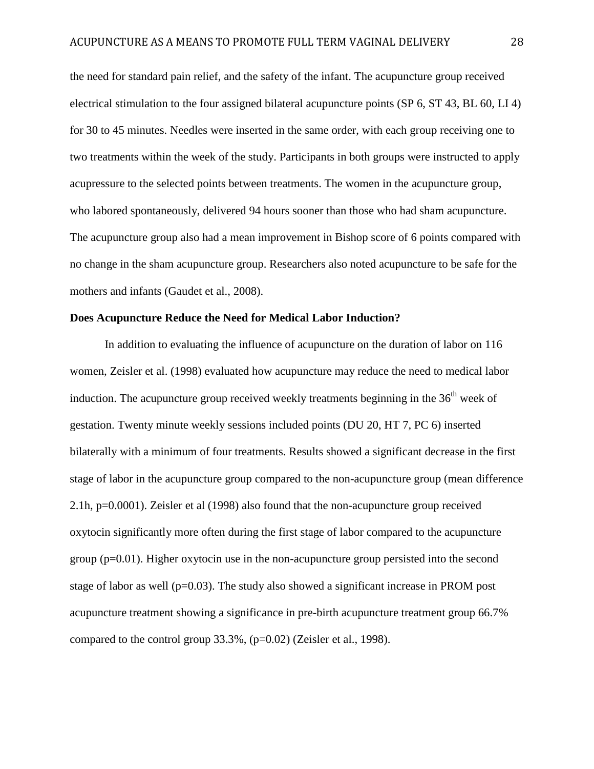the need for standard pain relief, and the safety of the infant. The acupuncture group received electrical stimulation to the four assigned bilateral acupuncture points (SP 6, ST 43, BL 60, LI 4) for 30 to 45 minutes. Needles were inserted in the same order, with each group receiving one to two treatments within the week of the study. Participants in both groups were instructed to apply acupressure to the selected points between treatments. The women in the acupuncture group, who labored spontaneously, delivered 94 hours sooner than those who had sham acupuncture. The acupuncture group also had a mean improvement in Bishop score of 6 points compared with no change in the sham acupuncture group. Researchers also noted acupuncture to be safe for the mothers and infants (Gaudet et al., 2008).

## **Does Acupuncture Reduce the Need for Medical Labor Induction?**

In addition to evaluating the influence of acupuncture on the duration of labor on 116 women, Zeisler et al. (1998) evaluated how acupuncture may reduce the need to medical labor induction. The acupuncture group received weekly treatments beginning in the  $36<sup>th</sup>$  week of gestation. Twenty minute weekly sessions included points (DU 20, HT 7, PC 6) inserted bilaterally with a minimum of four treatments. Results showed a significant decrease in the first stage of labor in the acupuncture group compared to the non-acupuncture group (mean difference 2.1h, p=0.0001). Zeisler et al (1998) also found that the non-acupuncture group received oxytocin significantly more often during the first stage of labor compared to the acupuncture group  $(p=0.01)$ . Higher oxytocin use in the non-acupuncture group persisted into the second stage of labor as well (p=0.03). The study also showed a significant increase in PROM post acupuncture treatment showing a significance in pre-birth acupuncture treatment group 66.7% compared to the control group 33.3%, (p=0.02) (Zeisler et al., 1998).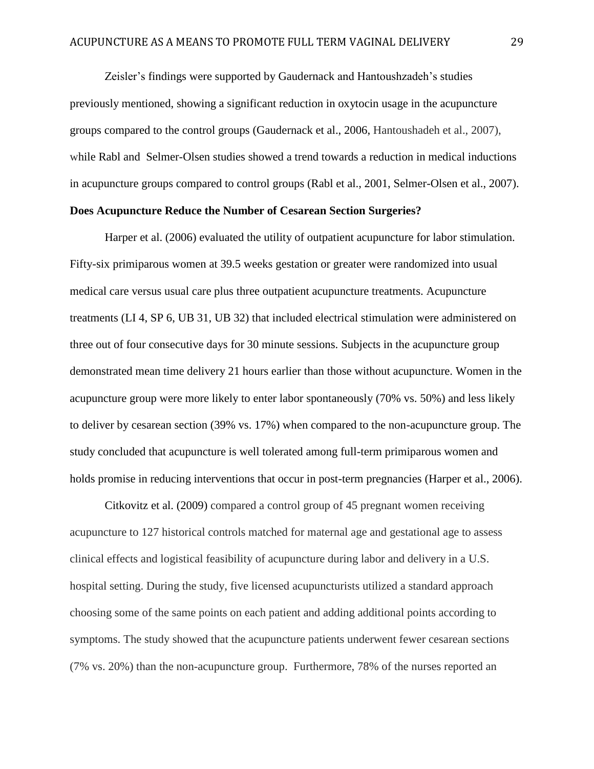Zeisler's findings were supported by Gaudernack and Hantoushzadeh's studies previously mentioned, showing a significant reduction in oxytocin usage in the acupuncture groups compared to the control groups (Gaudernack et al., 2006, Hantoushadeh et al., 2007), while Rabl and Selmer-Olsen studies showed a trend towards a reduction in medical inductions in acupuncture groups compared to control groups (Rabl et al., 2001, Selmer-Olsen et al., 2007).

## **Does Acupuncture Reduce the Number of Cesarean Section Surgeries?**

Harper et al. (2006) evaluated the utility of outpatient acupuncture for labor stimulation. Fifty-six primiparous women at 39.5 weeks gestation or greater were randomized into usual medical care versus usual care plus three outpatient acupuncture treatments. Acupuncture treatments (LI 4, SP 6, UB 31, UB 32) that included electrical stimulation were administered on three out of four consecutive days for 30 minute sessions. Subjects in the acupuncture group demonstrated mean time delivery 21 hours earlier than those without acupuncture. Women in the acupuncture group were more likely to enter labor spontaneously (70% vs. 50%) and less likely to deliver by cesarean section (39% vs. 17%) when compared to the non-acupuncture group. The study concluded that acupuncture is well tolerated among full-term primiparous women and holds promise in reducing interventions that occur in post-term pregnancies (Harper et al., 2006).

Citkovitz et al. (2009) compared a control group of 45 pregnant women receiving acupuncture to 127 historical controls matched for maternal age and gestational age to assess clinical effects and logistical feasibility of acupuncture during labor and delivery in a U.S. hospital setting. During the study, five licensed acupuncturists utilized a standard approach choosing some of the same points on each patient and adding additional points according to symptoms. The study showed that the acupuncture patients underwent fewer cesarean sections (7% vs. 20%) than the non-acupuncture group. Furthermore, 78% of the nurses reported an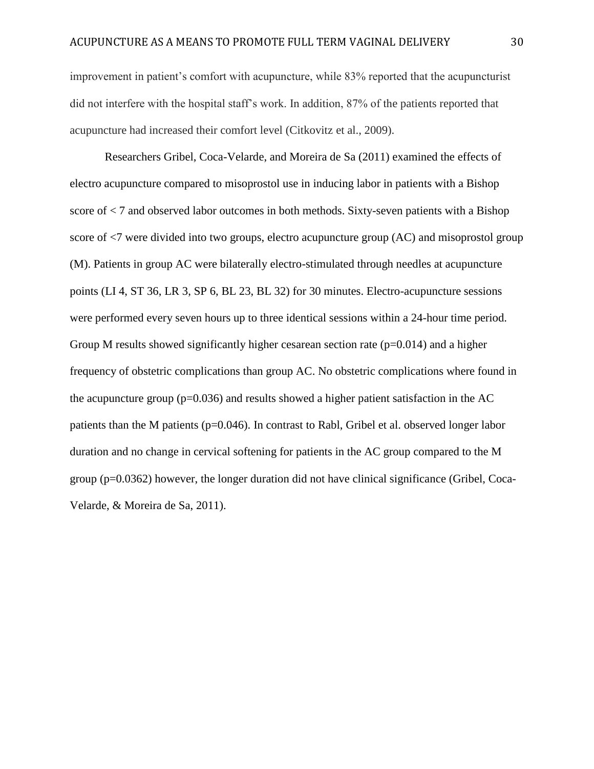improvement in patient's comfort with acupuncture, while 83% reported that the acupuncturist did not interfere with the hospital staff's work. In addition, 87% of the patients reported that acupuncture had increased their comfort level (Citkovitz et al., 2009).

Researchers Gribel, Coca-Velarde, and Moreira de Sa (2011) examined the effects of electro acupuncture compared to misoprostol use in inducing labor in patients with a Bishop score of < 7 and observed labor outcomes in both methods. Sixty-seven patients with a Bishop score of <7 were divided into two groups, electro acupuncture group (AC) and misoprostol group (M). Patients in group AC were bilaterally electro-stimulated through needles at acupuncture points (LI 4, ST 36, LR 3, SP 6, BL 23, BL 32) for 30 minutes. Electro-acupuncture sessions were performed every seven hours up to three identical sessions within a 24-hour time period. Group M results showed significantly higher cesarean section rate  $(p=0.014)$  and a higher frequency of obstetric complications than group AC. No obstetric complications where found in the acupuncture group  $(p=0.036)$  and results showed a higher patient satisfaction in the AC patients than the M patients (p=0.046). In contrast to Rabl, Gribel et al. observed longer labor duration and no change in cervical softening for patients in the AC group compared to the M group (p=0.0362) however, the longer duration did not have clinical significance (Gribel, Coca-Velarde, & Moreira de Sa, 2011).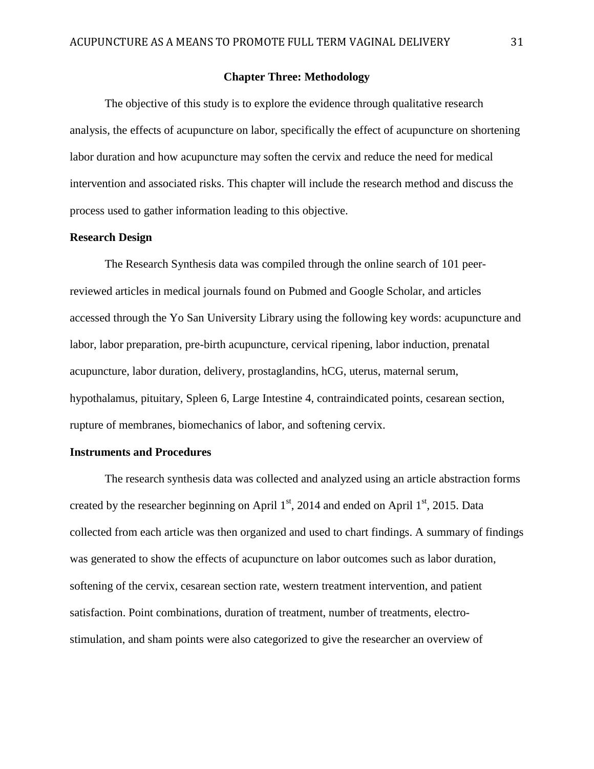## **Chapter Three: Methodology**

The objective of this study is to explore the evidence through qualitative research analysis, the effects of acupuncture on labor, specifically the effect of acupuncture on shortening labor duration and how acupuncture may soften the cervix and reduce the need for medical intervention and associated risks. This chapter will include the research method and discuss the process used to gather information leading to this objective.

## **Research Design**

The Research Synthesis data was compiled through the online search of 101 peerreviewed articles in medical journals found on Pubmed and Google Scholar, and articles accessed through the Yo San University Library using the following key words: acupuncture and labor, labor preparation, pre-birth acupuncture, cervical ripening, labor induction, prenatal acupuncture, labor duration, delivery, prostaglandins, hCG, uterus, maternal serum, hypothalamus, pituitary, Spleen 6, Large Intestine 4, contraindicated points, cesarean section, rupture of membranes, biomechanics of labor, and softening cervix.

#### **Instruments and Procedures**

The research synthesis data was collected and analyzed using an article abstraction forms created by the researcher beginning on April  $1<sup>st</sup>$ , 2014 and ended on April  $1<sup>st</sup>$ , 2015. Data collected from each article was then organized and used to chart findings. A summary of findings was generated to show the effects of acupuncture on labor outcomes such as labor duration, softening of the cervix, cesarean section rate, western treatment intervention, and patient satisfaction. Point combinations, duration of treatment, number of treatments, electrostimulation, and sham points were also categorized to give the researcher an overview of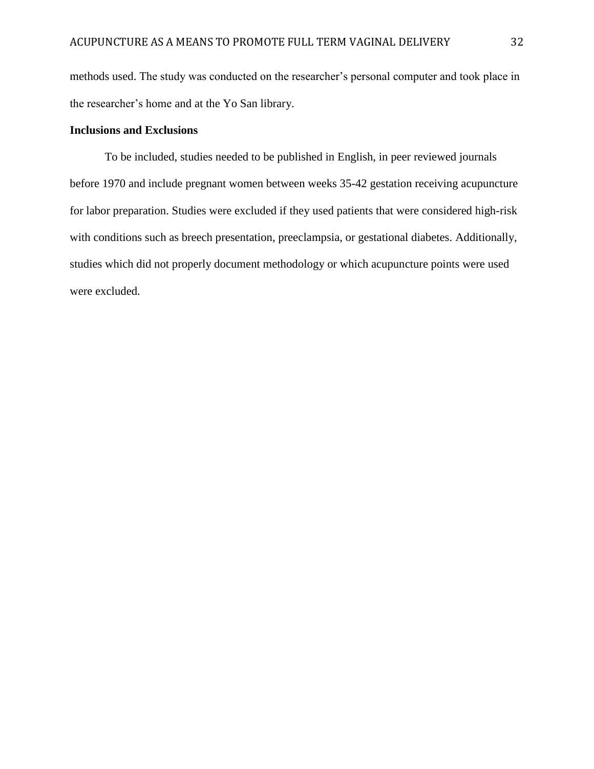methods used. The study was conducted on the researcher's personal computer and took place in the researcher's home and at the Yo San library.

## **Inclusions and Exclusions**

To be included, studies needed to be published in English, in peer reviewed journals before 1970 and include pregnant women between weeks 35-42 gestation receiving acupuncture for labor preparation. Studies were excluded if they used patients that were considered high-risk with conditions such as breech presentation, preeclampsia, or gestational diabetes. Additionally, studies which did not properly document methodology or which acupuncture points were used were excluded.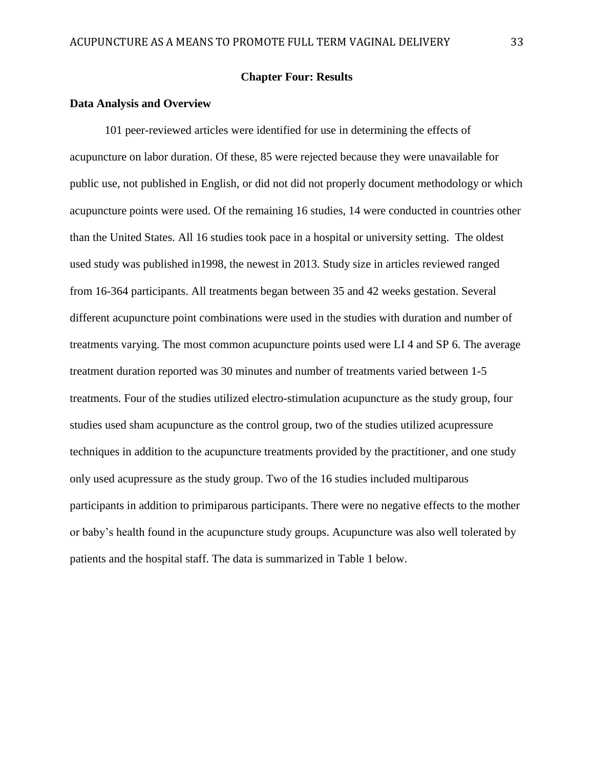## **Chapter Four: Results**

#### **Data Analysis and Overview**

101 peer-reviewed articles were identified for use in determining the effects of acupuncture on labor duration. Of these, 85 were rejected because they were unavailable for public use, not published in English, or did not did not properly document methodology or which acupuncture points were used. Of the remaining 16 studies, 14 were conducted in countries other than the United States. All 16 studies took pace in a hospital or university setting. The oldest used study was published in1998, the newest in 2013. Study size in articles reviewed ranged from 16-364 participants. All treatments began between 35 and 42 weeks gestation. Several different acupuncture point combinations were used in the studies with duration and number of treatments varying. The most common acupuncture points used were LI 4 and SP 6. The average treatment duration reported was 30 minutes and number of treatments varied between 1-5 treatments. Four of the studies utilized electro-stimulation acupuncture as the study group, four studies used sham acupuncture as the control group, two of the studies utilized acupressure techniques in addition to the acupuncture treatments provided by the practitioner, and one study only used acupressure as the study group. Two of the 16 studies included multiparous participants in addition to primiparous participants. There were no negative effects to the mother or baby's health found in the acupuncture study groups. Acupuncture was also well tolerated by patients and the hospital staff. The data is summarized in Table 1 below.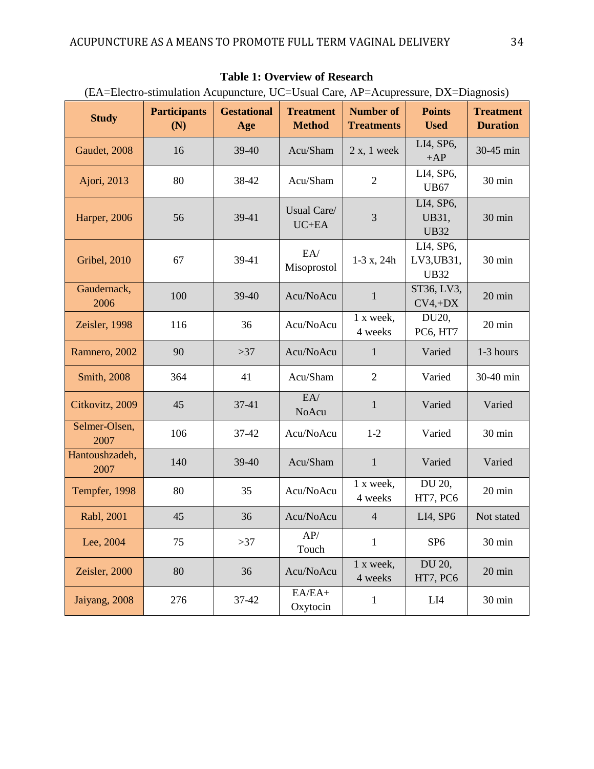| (La A-Little summation Acapanciale, OC-Osaal Care, Ari – Acapiessare, DA-Diagnosis) |                            |                           |                                   |                                       |                                        |                                     |
|-------------------------------------------------------------------------------------|----------------------------|---------------------------|-----------------------------------|---------------------------------------|----------------------------------------|-------------------------------------|
| <b>Study</b>                                                                        | <b>Participants</b><br>(N) | <b>Gestational</b><br>Age | <b>Treatment</b><br><b>Method</b> | <b>Number of</b><br><b>Treatments</b> | <b>Points</b><br><b>Used</b>           | <b>Treatment</b><br><b>Duration</b> |
| Gaudet, 2008                                                                        | 16                         | 39-40                     | Acu/Sham                          | $2x, 1$ week                          | LI4, SP6,<br>$+AP$                     | 30-45 min                           |
| Ajori, 2013                                                                         | 80                         | 38-42                     | Acu/Sham                          | $\overline{2}$                        | LI4, SP6,<br><b>UB67</b>               | 30 min                              |
| <b>Harper</b> , 2006                                                                | 56                         | 39-41                     | Usual Care/<br>$UC+EA$            | 3                                     | LI4, SP6,<br>UB31,<br><b>UB32</b>      | 30 min                              |
| <b>Gribel</b> , 2010                                                                | 67                         | 39-41                     | EA/<br>Misoprostol                | $1-3x, 24h$                           | LI4, SP6,<br>LV3, UB31,<br><b>UB32</b> | 30 min                              |
| Gaudernack,<br>2006                                                                 | 100                        | 39-40                     | Acu/NoAcu                         | $\mathbf{1}$                          | ST36, LV3,<br>$CV4, +DX$               | 20 min                              |
| Zeisler, 1998                                                                       | 116                        | 36                        | Acu/NoAcu                         | 1 x week,<br>4 weeks                  | DU20,<br>PC6, HT7                      | $20 \text{ min}$                    |
| Ramnero, 2002                                                                       | 90                         | $>37$                     | Acu/NoAcu                         | $\mathbf{1}$                          | Varied                                 | 1-3 hours                           |
| <b>Smith</b> , 2008                                                                 | 364                        | 41                        | Acu/Sham                          | $\mathfrak{2}$                        | Varied                                 | 30-40 min                           |
| Citkovitz, 2009                                                                     | 45                         | 37-41                     | EA/<br>NoAcu                      | $\mathbf{1}$                          | Varied                                 | Varied                              |
| Selmer-Olsen,<br>2007                                                               | 106                        | 37-42                     | Acu/NoAcu                         | $1-2$                                 | Varied                                 | 30 min                              |
| Hantoushzadeh,<br>2007                                                              | 140                        | 39-40                     | Acu/Sham                          | $\mathbf{1}$                          | Varied                                 | Varied                              |
| Tempfer, 1998                                                                       | 80                         | 35                        | Acu/NoAcu                         | 1 x week,<br>4 weeks                  | DU 20,<br>HT7, PC6                     | 20 min                              |
| Rabl, 2001                                                                          | 45                         | 36                        | Acu/NoAcu                         | $\overline{4}$                        | LI4, SP6                               | Not stated                          |
| Lee, 2004                                                                           | 75                         | >37                       | AP/<br>Touch                      | $\mathbf{1}$                          | SP <sub>6</sub>                        | 30 min                              |
| Zeisler, 2000                                                                       | 80                         | 36                        | Acu/NoAcu                         | 1 x week,<br>4 weeks                  | DU 20,<br>HT7, PC6                     | $20 \text{ min}$                    |
| Jaiyang, 2008                                                                       | 276                        | 37-42                     | $EA/EA+$<br>Oxytocin              | $\mathbf{1}$                          | LI4                                    | 30 min                              |

## **Table 1: Overview of Research**

(EA=Electro-stimulation Acupuncture, UC=Usual Care, AP=Acupressure, DX=Diagnosis)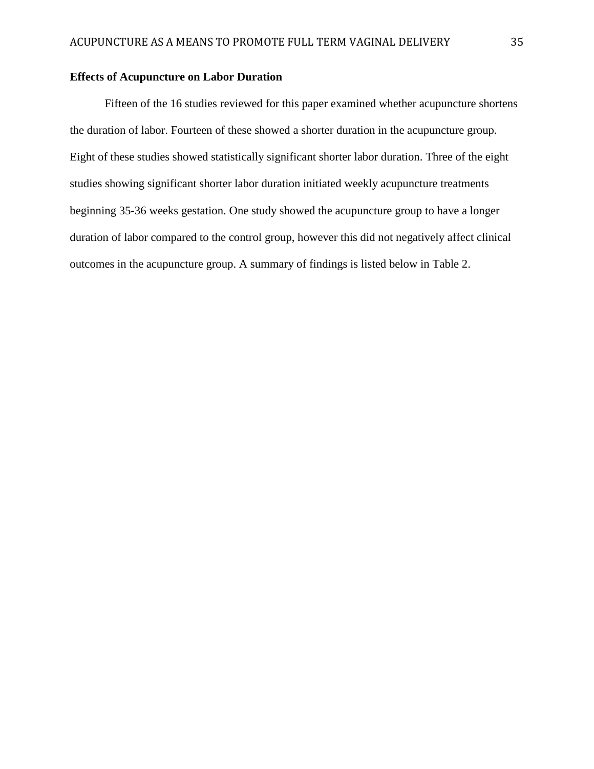## **Effects of Acupuncture on Labor Duration**

Fifteen of the 16 studies reviewed for this paper examined whether acupuncture shortens the duration of labor. Fourteen of these showed a shorter duration in the acupuncture group. Eight of these studies showed statistically significant shorter labor duration. Three of the eight studies showing significant shorter labor duration initiated weekly acupuncture treatments beginning 35-36 weeks gestation. One study showed the acupuncture group to have a longer duration of labor compared to the control group, however this did not negatively affect clinical outcomes in the acupuncture group. A summary of findings is listed below in Table 2.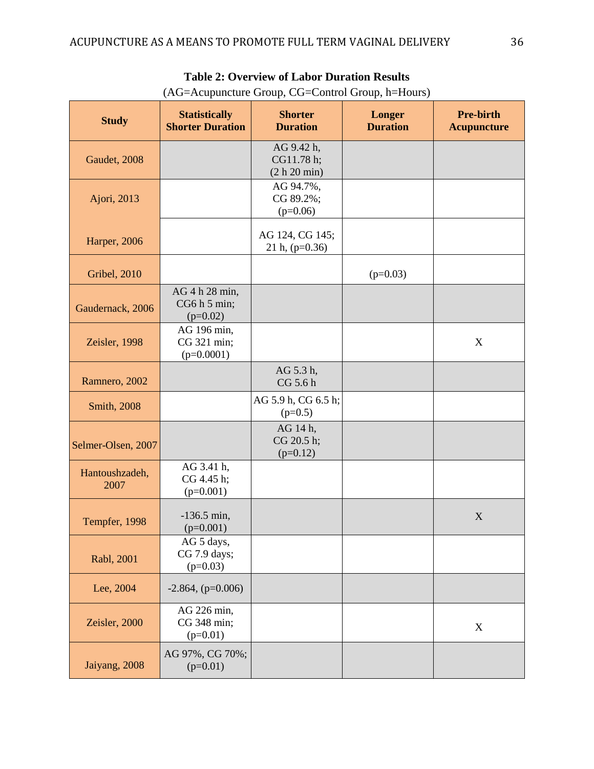| <b>Study</b>           | <b>Statistically</b><br><b>Shorter Duration</b> | <b>Shorter</b><br><b>Duration</b>        | Longer<br><b>Duration</b> | <b>Pre-birth</b><br><b>Acupuncture</b> |
|------------------------|-------------------------------------------------|------------------------------------------|---------------------------|----------------------------------------|
| Gaudet, 2008           |                                                 | AG 9.42 h,<br>CG11.78 h;<br>(2 h 20 min) |                           |                                        |
| Ajori, 2013            |                                                 | AG 94.7%,<br>CG 89.2%;<br>$(p=0.06)$     |                           |                                        |
| Harper, 2006           |                                                 | AG 124, CG 145;<br>21 h, $(p=0.36)$      |                           |                                        |
| <b>Gribel</b> , 2010   |                                                 |                                          | $(p=0.03)$                |                                        |
| Gaudernack, 2006       | AG 4 h 28 min,<br>CG6 h 5 min;<br>$(p=0.02)$    |                                          |                           |                                        |
| Zeisler, 1998          | AG 196 min,<br>CG 321 min;<br>$(p=0.0001)$      |                                          |                           | X                                      |
| Ramnero, 2002          |                                                 | AG 5.3 h,<br>CG 5.6 h                    |                           |                                        |
| Smith, 2008            |                                                 | AG 5.9 h, CG 6.5 h;<br>$(p=0.5)$         |                           |                                        |
| Selmer-Olsen, 2007     |                                                 | AG 14 h,<br>CG 20.5 h;<br>$(p=0.12)$     |                           |                                        |
| Hantoushzadeh,<br>2007 | AG 3.41 h,<br>CG 4.45 h;<br>$(p=0.001)$         |                                          |                           |                                        |
| Tempfer, 1998          | $-136.5$ min,<br>$(p=0.001)$                    |                                          |                           | $\mathbf X$                            |
| Rabl, 2001             | AG 5 days,<br>CG 7.9 days;<br>$(p=0.03)$        |                                          |                           |                                        |
| Lee, 2004              | $-2.864$ , (p=0.006)                            |                                          |                           |                                        |
| Zeisler, 2000          | AG 226 min,<br>CG 348 min;<br>$(p=0.01)$        |                                          |                           | $\mathbf X$                            |
| Jaiyang, 2008          | AG 97%, CG 70%;<br>$(p=0.01)$                   |                                          |                           |                                        |

# **Table 2: Overview of Labor Duration Results**

(AG=Acupuncture Group, CG=Control Group, h=Hours)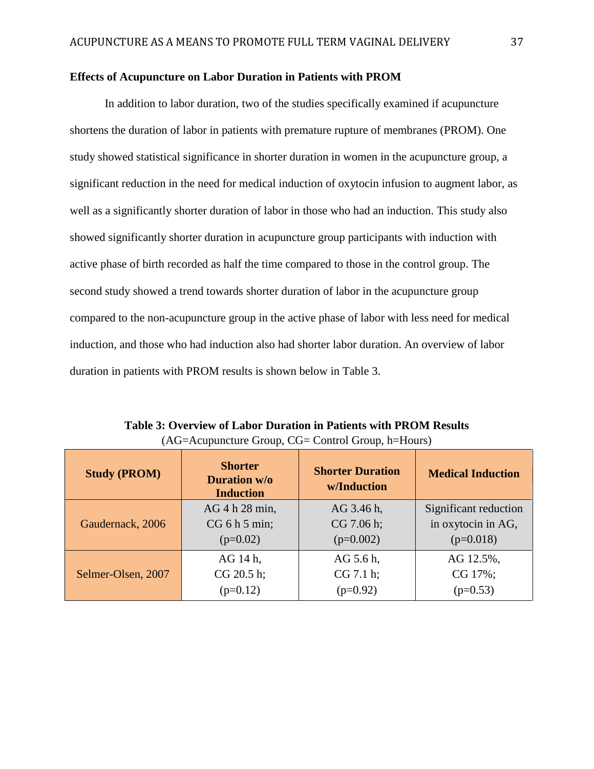## **Effects of Acupuncture on Labor Duration in Patients with PROM**

In addition to labor duration, two of the studies specifically examined if acupuncture shortens the duration of labor in patients with premature rupture of membranes (PROM). One study showed statistical significance in shorter duration in women in the acupuncture group, a significant reduction in the need for medical induction of oxytocin infusion to augment labor, as well as a significantly shorter duration of labor in those who had an induction. This study also showed significantly shorter duration in acupuncture group participants with induction with active phase of birth recorded as half the time compared to those in the control group. The second study showed a trend towards shorter duration of labor in the acupuncture group compared to the non-acupuncture group in the active phase of labor with less need for medical induction, and those who had induction also had shorter labor duration. An overview of labor duration in patients with PROM results is shown below in Table 3.

| <b>Study (PROM)</b> | <b>Shorter</b><br><b>Duration w/o</b><br><b>Induction</b> | <b>Shorter Duration</b><br>w/Induction | <b>Medical Induction</b> |
|---------------------|-----------------------------------------------------------|----------------------------------------|--------------------------|
| Gaudernack, 2006    | AG 4 h 28 min,                                            | AG 3.46 h,                             | Significant reduction    |
|                     | CG 6 h 5 min;                                             | CG 7.06 h;                             | in oxytocin in AG,       |
|                     | $(p=0.02)$                                                | $(p=0.002)$                            | $(p=0.018)$              |
| Selmer-Olsen, 2007  | AG 14 h,                                                  | AG 5.6 h,                              | AG 12.5%,                |
|                     | CG 20.5 h;                                                | CG 7.1 h;                              | CG 17%;                  |
|                     | $(p=0.12)$                                                | $(p=0.92)$                             | $(p=0.53)$               |

**Table 3: Overview of Labor Duration in Patients with PROM Results** (AG=Acupuncture Group, CG= Control Group, h=Hours)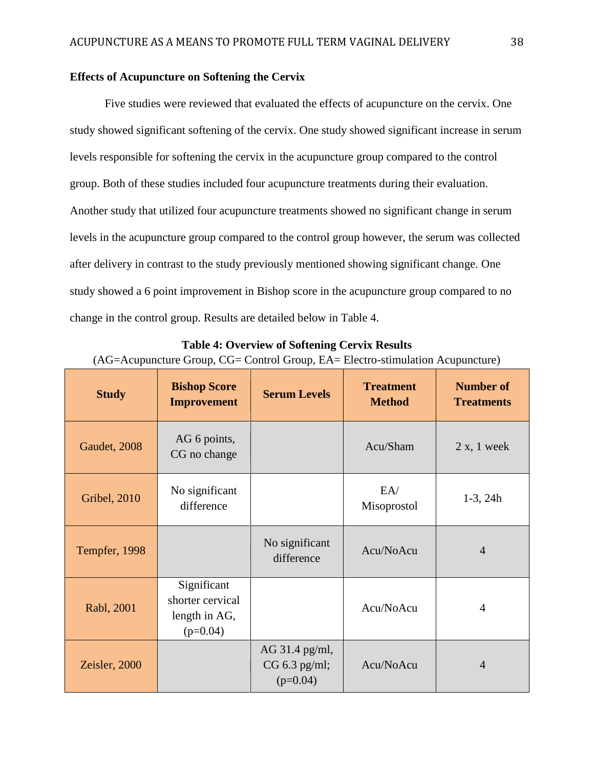## **Effects of Acupuncture on Softening the Cervix**

Five studies were reviewed that evaluated the effects of acupuncture on the cervix. One study showed significant softening of the cervix. One study showed significant increase in serum levels responsible for softening the cervix in the acupuncture group compared to the control group. Both of these studies included four acupuncture treatments during their evaluation. Another study that utilized four acupuncture treatments showed no significant change in serum levels in the acupuncture group compared to the control group however, the serum was collected after delivery in contrast to the study previously mentioned showing significant change. One study showed a 6 point improvement in Bishop score in the acupuncture group compared to no change in the control group. Results are detailed below in Table 4.

| <b>Study</b>         | <b>Bishop Score</b><br><b>Improvement</b>                      | <b>Serum Levels</b>                           | <b>Treatment</b><br><b>Method</b> | <b>Number of</b><br><b>Treatments</b> |
|----------------------|----------------------------------------------------------------|-----------------------------------------------|-----------------------------------|---------------------------------------|
| Gaudet, 2008         | AG 6 points,<br>CG no change                                   |                                               | Acu/Sham                          | 2 x, 1 week                           |
| <b>Gribel</b> , 2010 | No significant<br>difference                                   |                                               | EA/<br>Misoprostol                | $1-3$ , $24h$                         |
| Tempfer, 1998        |                                                                | No significant<br>difference                  | Acu/NoAcu                         | $\overline{4}$                        |
| Rabl, 2001           | Significant<br>shorter cervical<br>length in AG,<br>$(p=0.04)$ |                                               | Acu/NoAcu                         | 4                                     |
| Zeisler, 2000        |                                                                | AG 31.4 pg/ml,<br>CG 6.3 pg/ml;<br>$(p=0.04)$ | Acu/NoAcu                         | $\overline{4}$                        |

**Table 4: Overview of Softening Cervix Results** (AG=Acupuncture Group, CG= Control Group, EA= Electro-stimulation Acupuncture)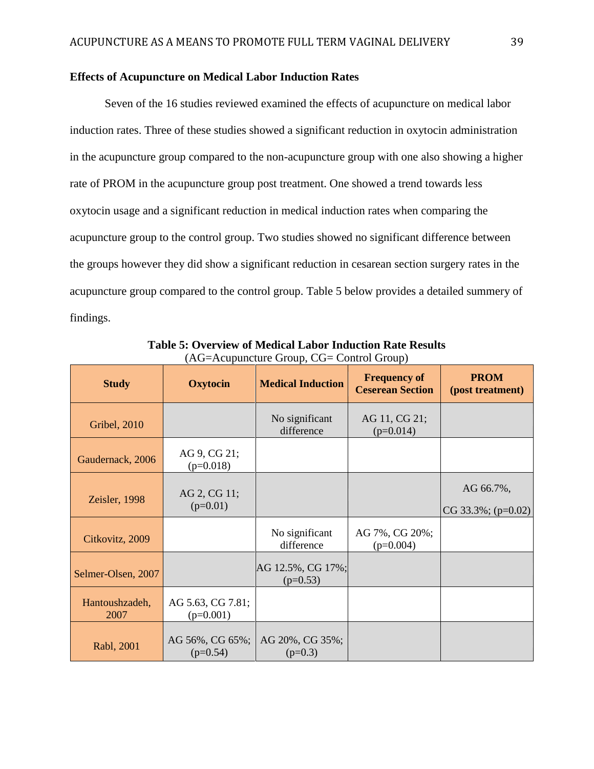## **Effects of Acupuncture on Medical Labor Induction Rates**

Seven of the 16 studies reviewed examined the effects of acupuncture on medical labor induction rates. Three of these studies showed a significant reduction in oxytocin administration in the acupuncture group compared to the non-acupuncture group with one also showing a higher rate of PROM in the acupuncture group post treatment. One showed a trend towards less oxytocin usage and a significant reduction in medical induction rates when comparing the acupuncture group to the control group. Two studies showed no significant difference between the groups however they did show a significant reduction in cesarean section surgery rates in the acupuncture group compared to the control group. Table 5 below provides a detailed summery of findings.

| <b>Study</b>           | <b>Oxytocin</b>                  | <b>Medical Induction</b>        | <b>Frequency of</b><br><b>Ceserean Section</b> | <b>PROM</b><br>(post treatment)     |
|------------------------|----------------------------------|---------------------------------|------------------------------------------------|-------------------------------------|
| <b>Gribel</b> , 2010   |                                  | No significant<br>difference    | AG 11, CG 21;<br>$(p=0.014)$                   |                                     |
| Gaudernack, 2006       | AG 9, CG 21;<br>$(p=0.018)$      |                                 |                                                |                                     |
| Zeisler, 1998          | AG 2, CG 11;<br>$(p=0.01)$       |                                 |                                                | AG 66.7%,<br>CG 33.3%; ( $p=0.02$ ) |
| Citkovitz, 2009        |                                  | No significant<br>difference    | AG 7%, CG 20%;<br>$(p=0.004)$                  |                                     |
| Selmer-Olsen, 2007     |                                  | AG 12.5%, CG 17%;<br>$(p=0.53)$ |                                                |                                     |
| Hantoushzadeh,<br>2007 | AG 5.63, CG 7.81;<br>$(p=0.001)$ |                                 |                                                |                                     |
| Rabl, 2001             | AG 56%, CG 65%;<br>$(p=0.54)$    | AG 20%, CG 35%;<br>$(p=0.3)$    |                                                |                                     |

**Table 5: Overview of Medical Labor Induction Rate Results** (AG=Acupuncture Group, CG= Control Group)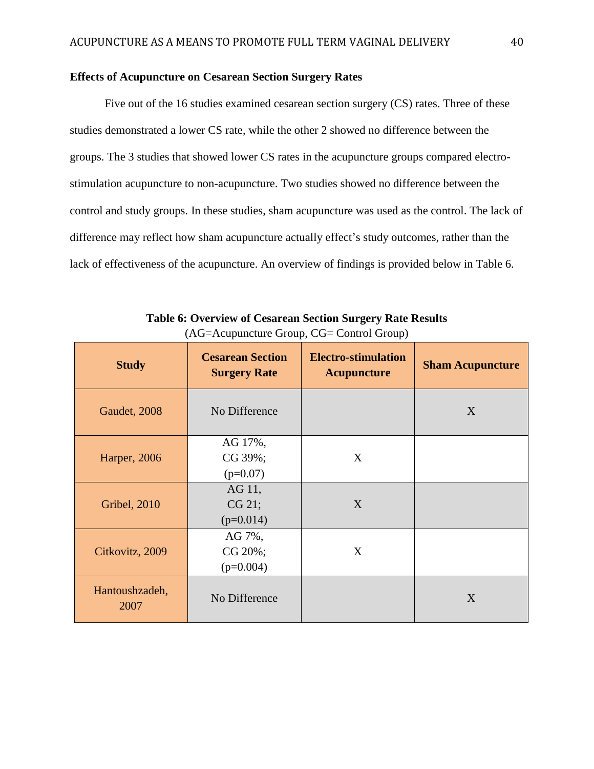## **Effects of Acupuncture on Cesarean Section Surgery Rates**

Five out of the 16 studies examined cesarean section surgery (CS) rates. Three of these studies demonstrated a lower CS rate, while the other 2 showed no difference between the groups. The 3 studies that showed lower CS rates in the acupuncture groups compared electrostimulation acupuncture to non-acupuncture. Two studies showed no difference between the control and study groups. In these studies, sham acupuncture was used as the control. The lack of difference may reflect how sham acupuncture actually effect's study outcomes, rather than the lack of effectiveness of the acupuncture. An overview of findings is provided below in Table 6.

| <b>Study</b>           | <b>Cesarean Section</b><br><b>Surgery Rate</b> | <b>Electro-stimulation</b><br><b>Acupuncture</b> | <b>Sham Acupuncture</b> |
|------------------------|------------------------------------------------|--------------------------------------------------|-------------------------|
| Gaudet, 2008           | No Difference                                  |                                                  | X                       |
| Harper, 2006           | AG 17%,<br>CG 39%;<br>$(p=0.07)$               | X                                                |                         |
| <b>Gribel</b> , 2010   | AG 11,<br>CG 21;<br>$(p=0.014)$                | X                                                |                         |
| Citkovitz, 2009        | AG 7%,<br>CG 20%;<br>$(p=0.004)$               | X                                                |                         |
| Hantoushzadeh,<br>2007 | No Difference                                  |                                                  | X                       |

**Table 6: Overview of Cesarean Section Surgery Rate Results** (AG=Acupuncture Group, CG= Control Group)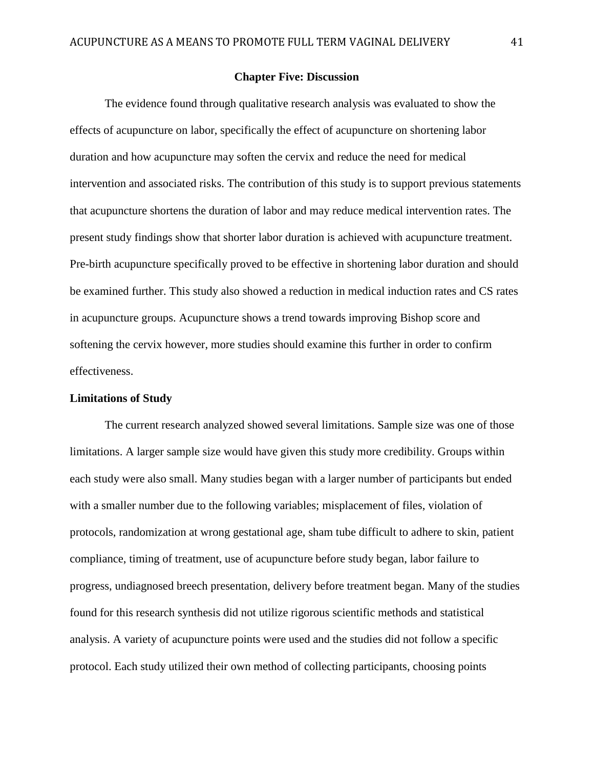## **Chapter Five: Discussion**

The evidence found through qualitative research analysis was evaluated to show the effects of acupuncture on labor, specifically the effect of acupuncture on shortening labor duration and how acupuncture may soften the cervix and reduce the need for medical intervention and associated risks. The contribution of this study is to support previous statements that acupuncture shortens the duration of labor and may reduce medical intervention rates. The present study findings show that shorter labor duration is achieved with acupuncture treatment. Pre-birth acupuncture specifically proved to be effective in shortening labor duration and should be examined further. This study also showed a reduction in medical induction rates and CS rates in acupuncture groups. Acupuncture shows a trend towards improving Bishop score and softening the cervix however, more studies should examine this further in order to confirm effectiveness.

## **Limitations of Study**

The current research analyzed showed several limitations. Sample size was one of those limitations. A larger sample size would have given this study more credibility. Groups within each study were also small. Many studies began with a larger number of participants but ended with a smaller number due to the following variables; misplacement of files, violation of protocols, randomization at wrong gestational age, sham tube difficult to adhere to skin, patient compliance, timing of treatment, use of acupuncture before study began, labor failure to progress, undiagnosed breech presentation, delivery before treatment began. Many of the studies found for this research synthesis did not utilize rigorous scientific methods and statistical analysis. A variety of acupuncture points were used and the studies did not follow a specific protocol. Each study utilized their own method of collecting participants, choosing points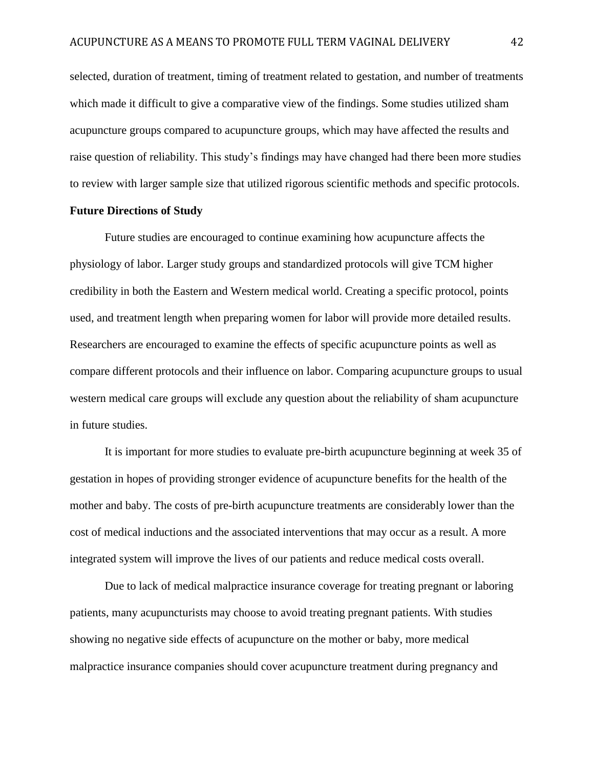selected, duration of treatment, timing of treatment related to gestation, and number of treatments which made it difficult to give a comparative view of the findings. Some studies utilized sham acupuncture groups compared to acupuncture groups, which may have affected the results and raise question of reliability. This study's findings may have changed had there been more studies to review with larger sample size that utilized rigorous scientific methods and specific protocols.

## **Future Directions of Study**

Future studies are encouraged to continue examining how acupuncture affects the physiology of labor. Larger study groups and standardized protocols will give TCM higher credibility in both the Eastern and Western medical world. Creating a specific protocol, points used, and treatment length when preparing women for labor will provide more detailed results. Researchers are encouraged to examine the effects of specific acupuncture points as well as compare different protocols and their influence on labor. Comparing acupuncture groups to usual western medical care groups will exclude any question about the reliability of sham acupuncture in future studies.

It is important for more studies to evaluate pre-birth acupuncture beginning at week 35 of gestation in hopes of providing stronger evidence of acupuncture benefits for the health of the mother and baby. The costs of pre-birth acupuncture treatments are considerably lower than the cost of medical inductions and the associated interventions that may occur as a result. A more integrated system will improve the lives of our patients and reduce medical costs overall.

Due to lack of medical malpractice insurance coverage for treating pregnant or laboring patients, many acupuncturists may choose to avoid treating pregnant patients. With studies showing no negative side effects of acupuncture on the mother or baby, more medical malpractice insurance companies should cover acupuncture treatment during pregnancy and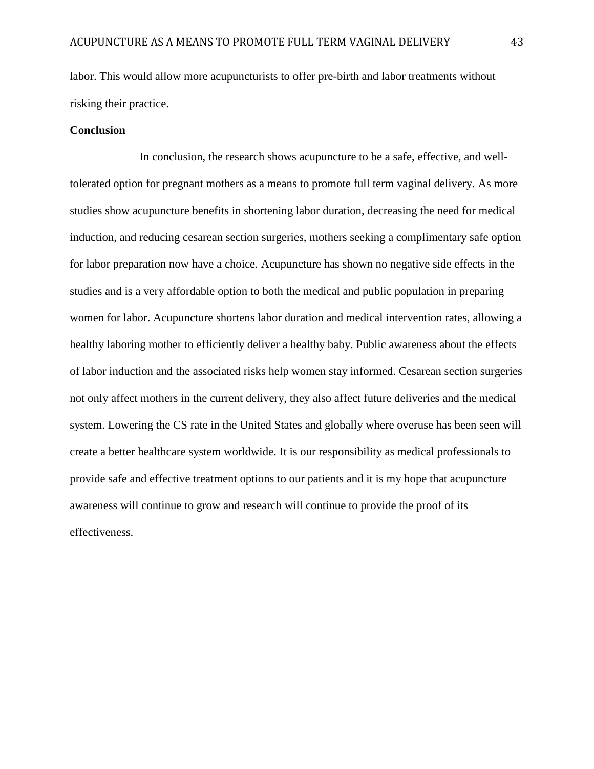labor. This would allow more acupuncturists to offer pre-birth and labor treatments without risking their practice.

## **Conclusion**

In conclusion, the research shows acupuncture to be a safe, effective, and welltolerated option for pregnant mothers as a means to promote full term vaginal delivery. As more studies show acupuncture benefits in shortening labor duration, decreasing the need for medical induction, and reducing cesarean section surgeries, mothers seeking a complimentary safe option for labor preparation now have a choice. Acupuncture has shown no negative side effects in the studies and is a very affordable option to both the medical and public population in preparing women for labor. Acupuncture shortens labor duration and medical intervention rates, allowing a healthy laboring mother to efficiently deliver a healthy baby. Public awareness about the effects of labor induction and the associated risks help women stay informed. Cesarean section surgeries not only affect mothers in the current delivery, they also affect future deliveries and the medical system. Lowering the CS rate in the United States and globally where overuse has been seen will create a better healthcare system worldwide. It is our responsibility as medical professionals to provide safe and effective treatment options to our patients and it is my hope that acupuncture awareness will continue to grow and research will continue to provide the proof of its effectiveness.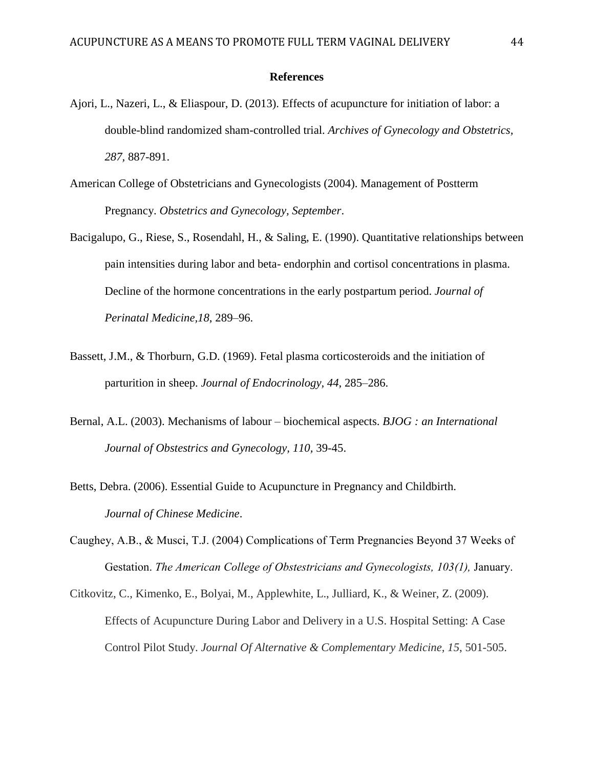## **References**

- Ajori, L., Nazeri, L., & Eliaspour, D. (2013). Effects of acupuncture for initiation of labor: a double-blind randomized sham-controlled trial. *Archives of Gynecology and Obstetrics, 287,* 887-891.
- American College of Obstetricians and Gynecologists (2004). Management of Postterm Pregnancy. *Obstetrics and Gynecology, September*.
- Bacigalupo, G., Riese, S., Rosendahl, H., & Saling, E. (1990). Quantitative relationships between pain intensities during labor and beta- endorphin and cortisol concentrations in plasma. Decline of the hormone concentrations in the early postpartum period. *Journal of Perinatal Medicine,18*, 289–96.
- Bassett, J.M., & Thorburn, G.D. (1969). Fetal plasma corticosteroids and the initiation of parturition in sheep. *Journal of Endocrinology, 44*, 285–286.
- Bernal, A.L. (2003). Mechanisms of labour biochemical aspects. *BJOG : an International Journal of Obstestrics and Gynecology, 110,* 39-45.
- Betts, Debra. (2006). Essential Guide to Acupuncture in Pregnancy and Childbirth. *Journal of Chinese Medicine*.
- Caughey, A.B., & Musci, T.J. (2004) Complications of Term Pregnancies Beyond 37 Weeks of Gestation. *The American College of Obstestricians and Gynecologists, 103(1),* January.
- Citkovitz, C., Kimenko, E., Bolyai, M., Applewhite, L., Julliard, K., & Weiner, Z. (2009). Effects of Acupuncture During Labor and Delivery in a U.S. Hospital Setting: A Case Control Pilot Study. *Journal Of Alternative & Complementary Medicine, 15*, 501-505.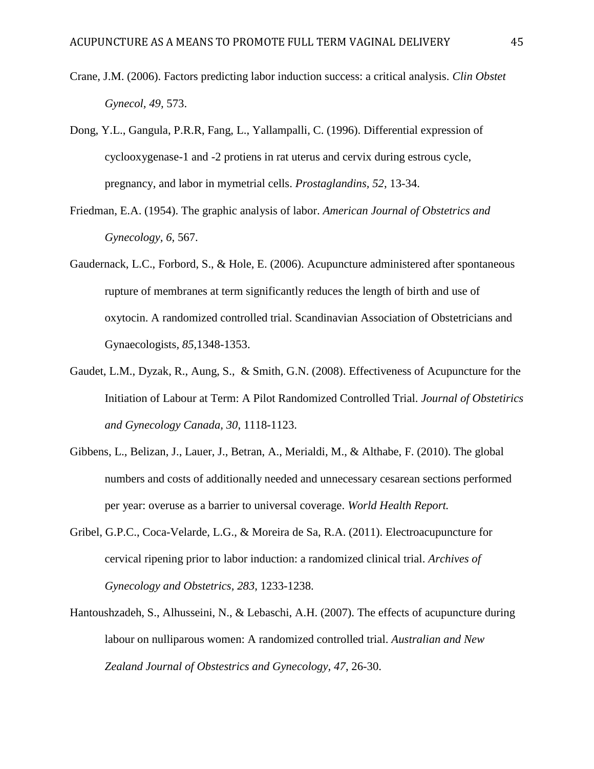- Crane, J.M. (2006). Factors predicting labor induction success: a critical analysis. *Clin Obstet Gynecol, 49,* 573.
- Dong, Y.L., Gangula, P.R.R, Fang, L., Yallampalli, C. (1996). Differential expression of cyclooxygenase-1 and -2 protiens in rat uterus and cervix during estrous cycle, pregnancy, and labor in mymetrial cells. *Prostaglandins, 52*, 13-34.
- Friedman, E.A. (1954). The graphic analysis of labor. *American Journal of Obstetrics and Gynecology, 6,* 567.
- Gaudernack, L.C., Forbord, S., & Hole, E. (2006). Acupuncture administered after spontaneous rupture of membranes at term significantly reduces the length of birth and use of oxytocin. A randomized controlled trial. Scandinavian Association of Obstetricians and Gynaecologists*, 85,*1348-1353.
- Gaudet, L.M., Dyzak, R., Aung, S., & Smith, G.N. (2008). Effectiveness of Acupuncture for the Initiation of Labour at Term: A Pilot Randomized Controlled Trial. *Journal of Obstetirics and Gynecology Canada, 30*, 1118-1123.
- Gibbens, L., Belizan, J., Lauer, J., Betran, A., Merialdi, M., & Althabe, F. (2010). The global numbers and costs of additionally needed and unnecessary cesarean sections performed per year: overuse as a barrier to universal coverage. *World Health Report.*
- Gribel, G.P.C., Coca-Velarde, L.G., & Moreira de Sa, R.A. (2011). Electroacupuncture for cervical ripening prior to labor induction: a randomized clinical trial. *Archives of Gynecology and Obstetrics, 283*, 1233-1238.
- Hantoushzadeh, S., Alhusseini, N., & Lebaschi, A.H. (2007). The effects of acupuncture during labour on nulliparous women: A randomized controlled trial. *Australian and New Zealand Journal of Obstestrics and Gynecology, 47*, 26-30.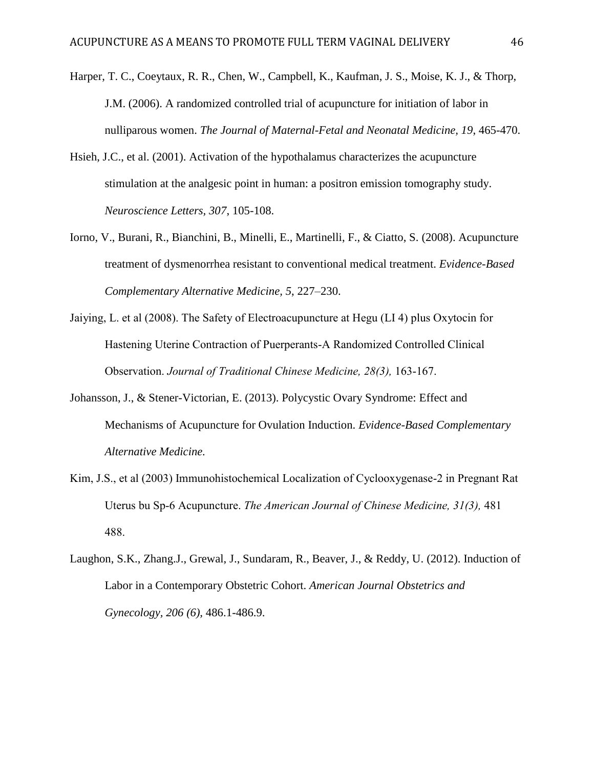- Harper, T. C., Coeytaux, R. R., Chen, W., Campbell, K., Kaufman, J. S., Moise, K. J., & Thorp, J.M. (2006). A randomized controlled trial of acupuncture for initiation of labor in nulliparous women. *The Journal of Maternal-Fetal and Neonatal Medicine, 19*, 465-470.
- Hsieh, J.C., et al. (2001). Activation of the hypothalamus characterizes the acupuncture stimulation at the analgesic point in human: a positron emission tomography study. *Neuroscience Letters, 307*, 105-108.
- Iorno, V., Burani, R., Bianchini, B., Minelli, E., Martinelli, F., & Ciatto, S. (2008). Acupuncture treatment of dysmenorrhea resistant to conventional medical treatment. *Evidence-Based Complementary Alternative Medicine, 5*, 227–230.
- Jaiying, L. et al (2008). The Safety of Electroacupuncture at Hegu (LI 4) plus Oxytocin for Hastening Uterine Contraction of Puerperants-A Randomized Controlled Clinical Observation. *Journal of Traditional Chinese Medicine, 28(3),* 163-167.
- Johansson, J., & Stener-Victorian, E. (2013). Polycystic Ovary Syndrome: Effect and Mechanisms of Acupuncture for Ovulation Induction. *Evidence-Based Complementary Alternative Medicine.*
- Kim, J.S., et al (2003) Immunohistochemical Localization of Cyclooxygenase-2 in Pregnant Rat Uterus bu Sp-6 Acupuncture. *The American Journal of Chinese Medicine, 31(3),* 481 488.
- Laughon, S.K., Zhang.J., Grewal, J., Sundaram, R., Beaver, J., & Reddy, U. (2012). Induction of Labor in a Contemporary Obstetric Cohort. *American Journal Obstetrics and Gynecology, 206 (6),* 486.1-486.9.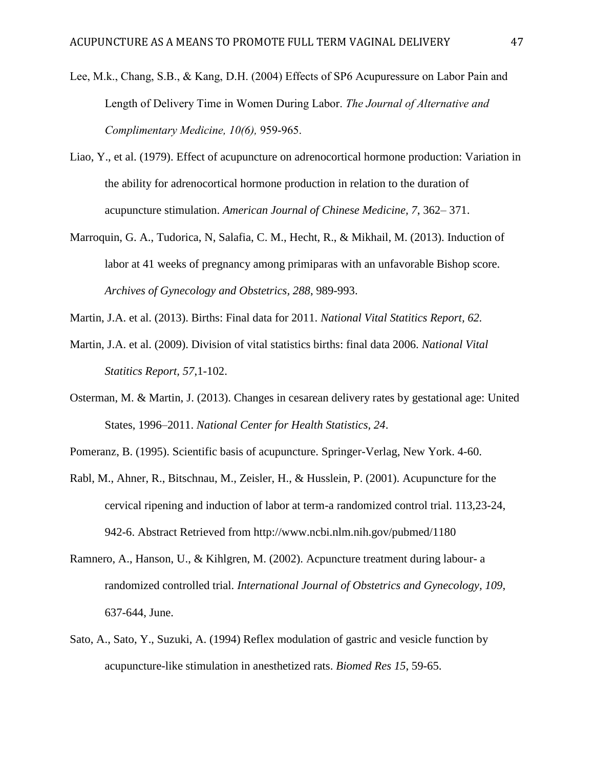- Lee, M.k., Chang, S.B., & Kang, D.H. (2004) Effects of SP6 Acupuressure on Labor Pain and Length of Delivery Time in Women During Labor. *The Journal of Alternative and Complimentary Medicine, 10(6),* 959-965.
- Liao, Y., et al. (1979). Effect of acupuncture on adrenocortical hormone production: Variation in the ability for adrenocortical hormone production in relation to the duration of acupuncture stimulation. *American Journal of Chinese Medicine, 7*, 362– 371.
- Marroquin, G. A., Tudorica, N, Salafia, C. M., Hecht, R., & Mikhail, M. (2013). Induction of labor at 41 weeks of pregnancy among primiparas with an unfavorable Bishop score. *Archives of Gynecology and Obstetrics, 288*, 989-993.
- Martin, J.A. et al. (2013). Births: Final data for 2011. *National Vital Statitics Report, 62.*
- Martin, J.A. et al. (2009). Division of vital statistics births: final data 2006. *National Vital Statitics Report, 57*,1-102.
- Osterman, M. & Martin, J. (2013). Changes in cesarean delivery rates by gestational age: United States, 1996–2011. *National Center for Health Statistics, 24*.
- Pomeranz, B. (1995). Scientific basis of acupuncture. Springer-Verlag, New York. 4-60.
- Rabl, M., Ahner, R., Bitschnau, M., Zeisler, H., & Husslein, P. (2001). Acupuncture for the cervical ripening and induction of labor at term-a randomized control trial. 113,23-24, 942-6. Abstract Retrieved from http://www.ncbi.nlm.nih.gov/pubmed/1180
- Ramnero, A., Hanson, U., & Kihlgren, M. (2002). Acpuncture treatment during labour- a randomized controlled trial. *International Journal of Obstetrics and Gynecology, 109*, 637-644, June.
- Sato, A., Sato, Y., Suzuki, A. (1994) Reflex modulation of gastric and vesicle function by acupuncture-like stimulation in anesthetized rats. *Biomed Res 15*, 59-65.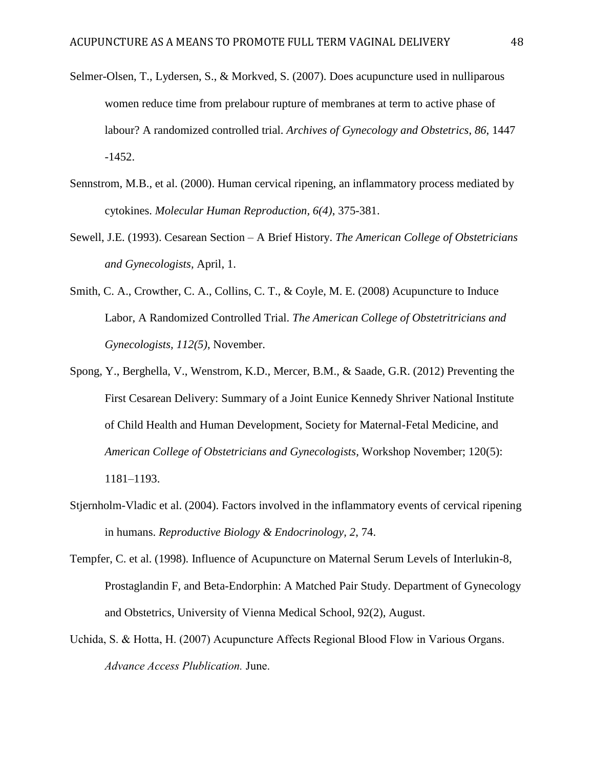- Selmer-Olsen, T., Lydersen, S., & Morkved, S. (2007). Does acupuncture used in nulliparous women reduce time from prelabour rupture of membranes at term to active phase of labour? A randomized controlled trial. *Archives of Gynecology and Obstetrics*, *86*, 1447 -1452.
- Sennstrom, M.B., et al. (2000). Human cervical ripening, an inflammatory process mediated by cytokines. *Molecular Human Reproduction, 6(4)*, 375-381.
- Sewell, J.E. (1993). Cesarean Section A Brief History. *The American College of Obstetricians and Gynecologists,* April, 1.
- Smith, C. A., Crowther, C. A., Collins, C. T., & Coyle, M. E. (2008) Acupuncture to Induce Labor, A Randomized Controlled Trial. *The American College of Obstetritricians and Gynecologists, 112(5)*, November.
- Spong, Y., Berghella, V., Wenstrom, K.D., Mercer, B.M., & Saade, G.R. (2012) Preventing the First Cesarean Delivery: Summary of a Joint Eunice Kennedy Shriver National Institute of Child Health and Human Development, Society for Maternal-Fetal Medicine, and *American College of Obstetricians and Gynecologists,* Workshop November; 120(5): 1181–1193.
- Stjernholm-Vladic et al. (2004). Factors involved in the inflammatory events of cervical ripening in humans. *Reproductive Biology & Endocrinology, 2*, 74.
- Tempfer, C. et al. (1998). Influence of Acupuncture on Maternal Serum Levels of Interlukin-8, Prostaglandin F, and Beta-Endorphin: A Matched Pair Study. Department of Gynecology and Obstetrics, University of Vienna Medical School, 92(2), August.
- Uchida, S. & Hotta, H. (2007) Acupuncture Affects Regional Blood Flow in Various Organs. *Advance Access Plublication.* June.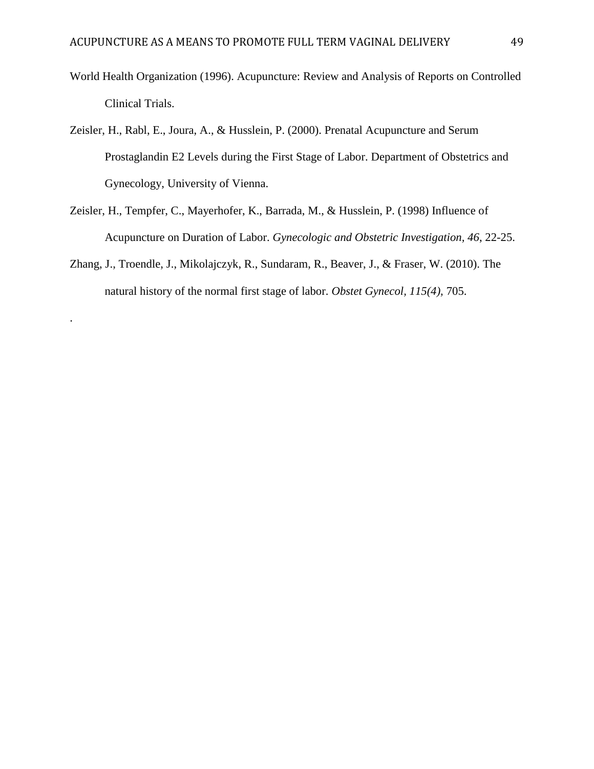- World Health Organization (1996). Acupuncture: Review and Analysis of Reports on Controlled Clinical Trials.
- Zeisler, H., Rabl, E., Joura, A., & Husslein, P. (2000). Prenatal Acupuncture and Serum Prostaglandin E2 Levels during the First Stage of Labor. Department of Obstetrics and Gynecology, University of Vienna.
- Zeisler, H., Tempfer, C., Mayerhofer, K., Barrada, M., & Husslein, P. (1998) Influence of Acupuncture on Duration of Labor. *Gynecologic and Obstetric Investigation, 46*, 22-25.
- Zhang, J., Troendle, J., Mikolajczyk, R., Sundaram, R., Beaver, J., & Fraser, W. (2010). The natural history of the normal first stage of labor. *Obstet Gynecol, 115(4),* 705.

.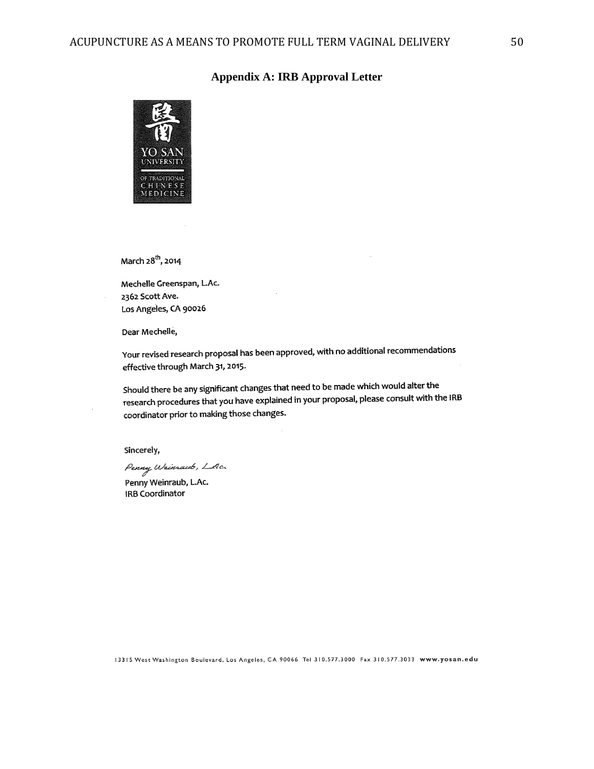## **Appendix A: IRB Approval Letter**



March 28<sup>th</sup>, 2014

Mechelle Greenspan, L.Ac. 2362 Scott Ave. Los Angeles, CA 90026

Dear Mechelle,

Your revised research proposal has been approved, with no additional recommendations effective through March 31, 2015.

Should there be any significant changes that need to be made which would alter the should there be any significant changes that need in your proposal, please consult with the IRB research procedures that you have explained in your proposal, please consult with the IRB coordinator prior to making those changes.

Sincerely,

Penny Wrinsawb, LAc.

Penny Weinraub, L.Ac. **IRB Coordinator**